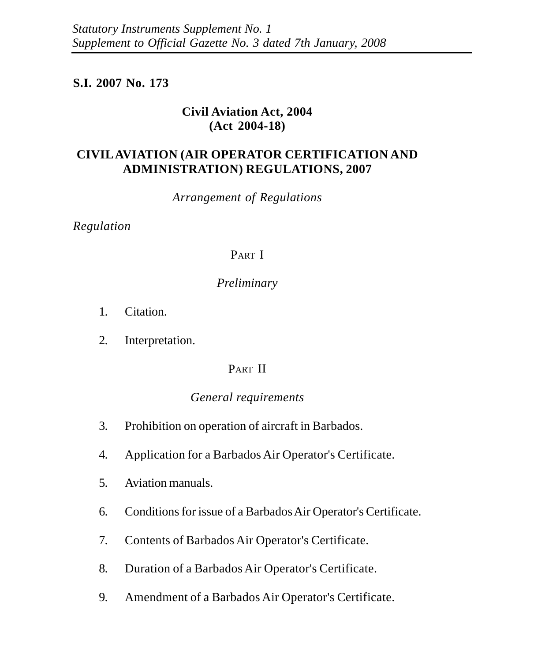# **S.I. 2007 No. 173**

# **Civil Aviation Act, 2004 (Act 2004-18)**

# **CIVIL AVIATION (AIR OPERATOR CERTIFICATION AND ADMINISTRATION) REGULATIONS, 2007**

*Arrangement of Regulations*

*Regulation*

## PART I

# *Preliminary*

- 1. Citation.
- 2. Interpretation.

# PART II

### *General requirements*

- 3. Prohibition on operation of aircraft in Barbados.
- 4. Application for a Barbados Air Operator's Certificate.
- 5. Aviation manuals.
- 6. Conditions for issue of a Barbados Air Operator's Certificate.
- 7. Contents of Barbados Air Operator's Certificate.
- 8. Duration of a Barbados Air Operator's Certificate.
- 9. Amendment of a Barbados Air Operator's Certificate.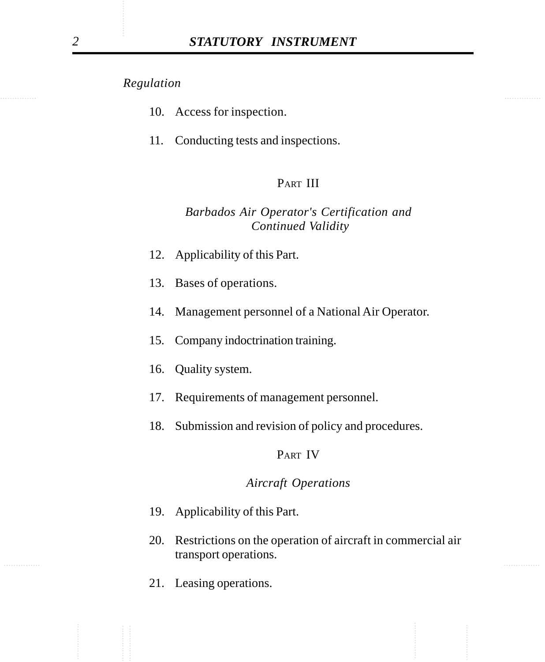- 10. Access for inspection.
- 11. Conducting tests and inspections.

# PART III

# *Barbados Air Operator's Certification and Continued Validity*

- 12. Applicability of this Part.
- 13. Bases of operations.
- 14. Management personnel of a National Air Operator.
- 15. Company indoctrination training.
- 16. Quality system.
- 17. Requirements of management personnel.
- 18. Submission and revision of policy and procedures.

### PART IV

### *Aircraft Operations*

- 19. Applicability of this Part.
- ............... ............... 20. Restrictions on the operation of aircraft in commercial air transport operations.
	- 21. Leasing operations.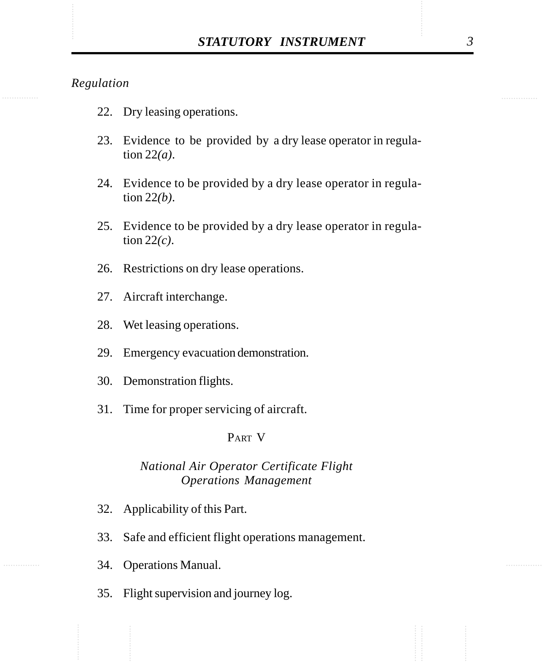- 22. Dry leasing operations.
- 23. Evidence to be provided by a dry lease operator in regulation 22*(a)*.
- 24. Evidence to be provided by a dry lease operator in regulation 22*(b)*.
- 25. Evidence to be provided by a dry lease operator in regulation 22*(c)*.
- 26. Restrictions on dry lease operations.
- 27. Aircraft interchange.
- 28. Wet leasing operations.
- 29. Emergency evacuation demonstration.
- 30. Demonstration flights.
- 31. Time for proper servicing of aircraft.

### PART V

### *National Air Operator Certificate Flight Operations Management*

- 32. Applicability of this Part.
- 33. Safe and efficient flight operations management.
- 34. Operations Manual.
- 35. Flight supervision and journey log.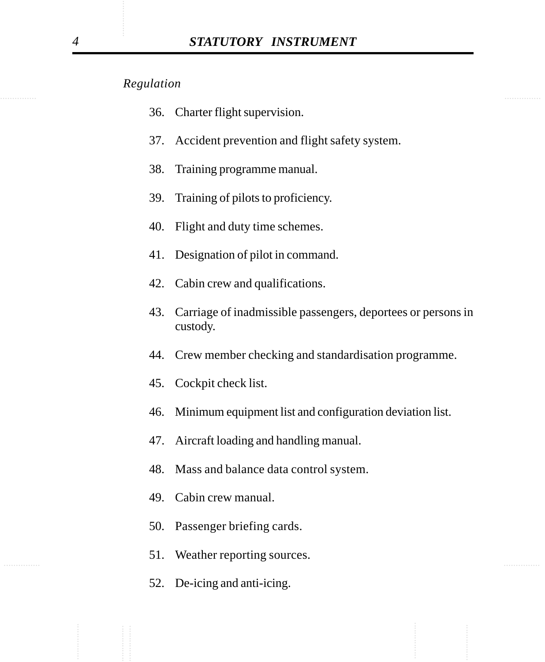- 36. Charter flight supervision.
- 37. Accident prevention and flight safety system.
- 38. Training programme manual.
- 39. Training of pilots to proficiency.
- 40. Flight and duty time schemes.
- 41. Designation of pilot in command.
- 42. Cabin crew and qualifications.
- 43. Carriage of inadmissible passengers, deportees or persons in custody.
- 44. Crew member checking and standardisation programme.
- 45. Cockpit check list.
- 46. Minimum equipment list and configuration deviation list.
- 47. Aircraft loading and handling manual.
- 48. Mass and balance data control system.
- 49. Cabin crew manual.
- 50. Passenger briefing cards.
- ............... ............... 51. Weather reporting sources.
	- 52. De-icing and anti-icing.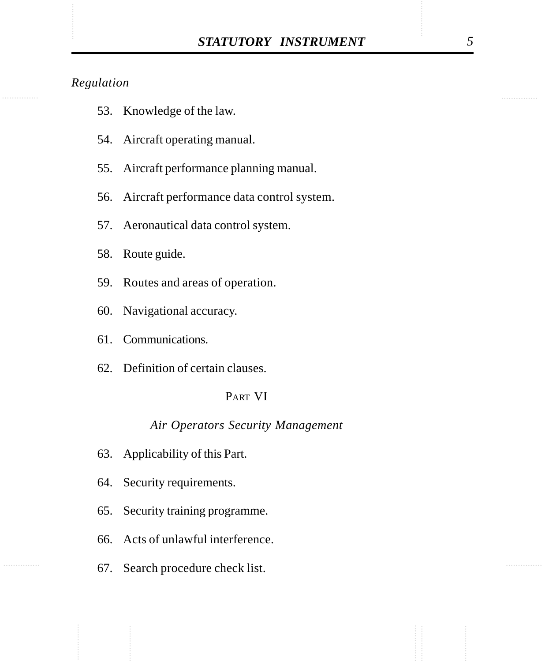- 53. Knowledge of the law.
- 54. Aircraft operating manual.
- 55. Aircraft performance planning manual.
- 56. Aircraft performance data control system.
- 57. Aeronautical data control system.
- 58. Route guide.
- 59. Routes and areas of operation.
- 60. Navigational accuracy.
- 61. Communications.
- 62. Definition of certain clauses.

### PART VI

## *Air Operators Security Management*

- 63. Applicability of this Part.
- 64. Security requirements.
- 65. Security training programme.
- 66. Acts of unlawful interference.
- 67. Search procedure check list.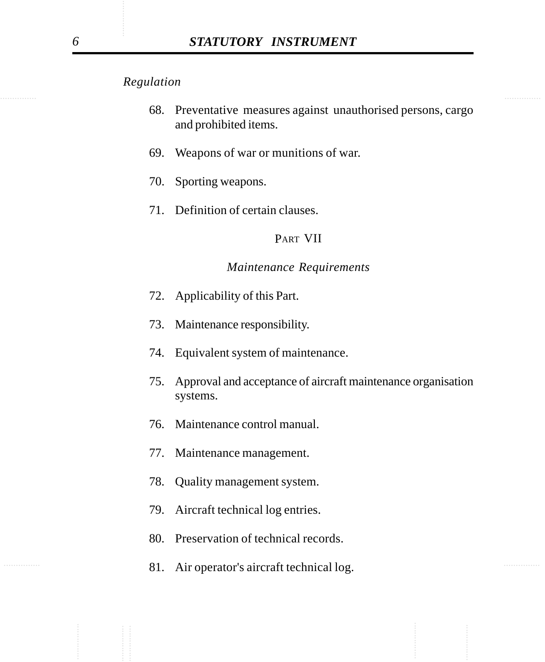- 68. Preventative measures against unauthorised persons, cargo and prohibited items.
- 69. Weapons of war or munitions of war.
- 70. Sporting weapons.
- 71. Definition of certain clauses.

### PART VII

#### *Maintenance Requirements*

- 72. Applicability of this Part.
- 73. Maintenance responsibility.
- 74. Equivalent system of maintenance.
- 75. Approval and acceptance of aircraft maintenance organisation systems.
- 76. Maintenance control manual.
- 77. Maintenance management.
- 78. Quality management system.
- 79. Aircraft technical log entries.
- 80. Preservation of technical records.
- **81.** Air operator's aircraft technical log.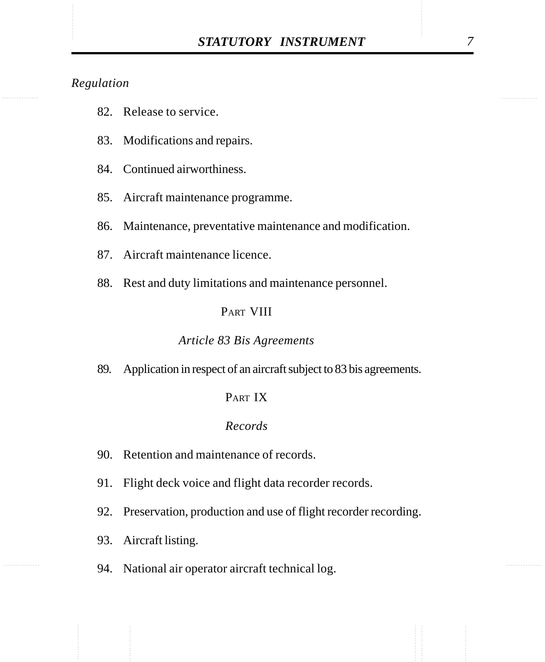- 82. Release to service.
- 83. Modifications and repairs.
- 84. Continued airworthiness.
- 85. Aircraft maintenance programme.
- 86. Maintenance, preventative maintenance and modification.
- 87. Aircraft maintenance licence.
- 88. Rest and duty limitations and maintenance personnel.

### PART VIII

#### *Article 83 Bis Agreements*

89. Application in respect of an aircraft subject to 83 bis agreements.

### PART IX

### *Records*

- 90. Retention and maintenance of records.
- 91. Flight deck voice and flight data recorder records.
- 92. Preservation, production and use of flight recorder recording.
- 93. Aircraft listing.
- 94. National air operator aircraft technical log.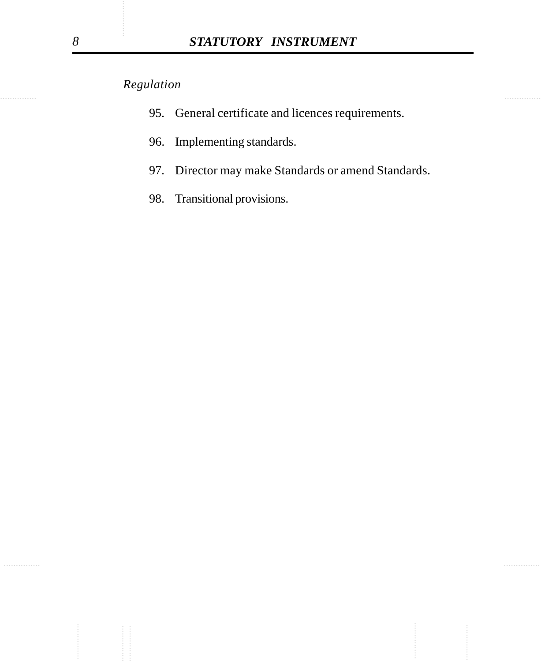- 95. General certificate and licences requirements.
- 96. Implementing standards.
- 97. Director may make Standards or amend Standards.
- 98. Transitional provisions.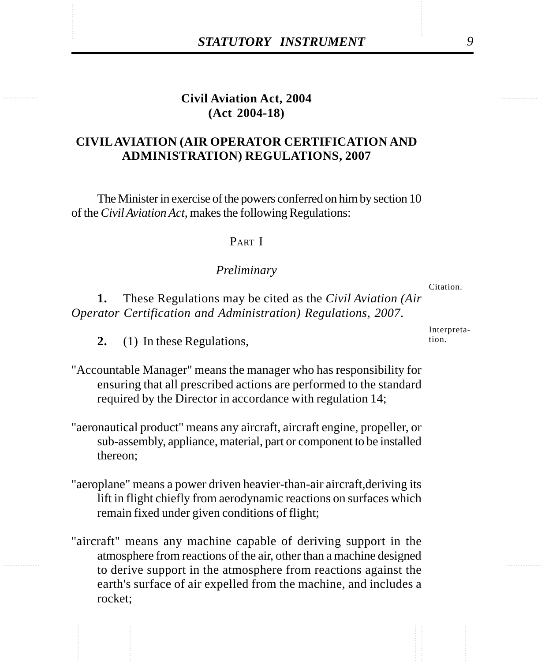# **Civil Aviation Act, 2004 (Act 2004-18)**

## **CIVIL AVIATION (AIR OPERATOR CERTIFICATION AND ADMINISTRATION) REGULATIONS, 2007**

The Minister in exercise of the powers conferred on him by section 10 of the *Civil Aviation Act*, makes the following Regulations:

#### PART I

#### *Preliminary*

**1.** These Regulations may be cited as the *Civil Aviation (Air Operator Certification and Administration) Regulations, 2007*.

- **2.** (1) In these Regulations,
- "Accountable Manager" means the manager who has responsibility for ensuring that all prescribed actions are performed to the standard required by the Director in accordance with regulation 14;
- "aeronautical product" means any aircraft, aircraft engine, propeller, or sub-assembly, appliance, material, part or component to be installed thereon;
- "aeroplane" means a power driven heavier-than-air aircraft,deriving its lift in flight chiefly from aerodynamic reactions on surfaces which remain fixed under given conditions of flight;
- "aircraft" means any machine capable of deriving support in the atmosphere from reactions of the air, other than a machine designed to derive support in the atmosphere from reactions against the earth's surface of air expelled from the machine, and includes a rocket;

Interpretation.

Citation.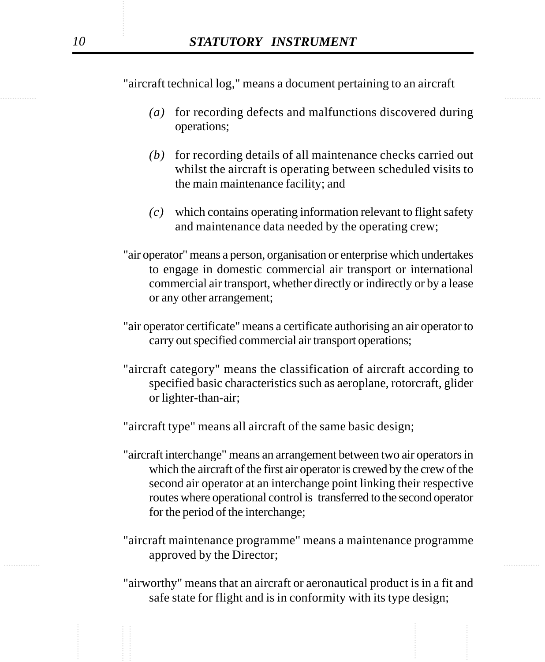"aircraft technical log," means a document pertaining to an aircraft

- *(a)* for recording defects and malfunctions discovered during operations;
- *(b)* for recording details of all maintenance checks carried out whilst the aircraft is operating between scheduled visits to the main maintenance facility; and
- *(c)* which contains operating information relevant to flight safety and maintenance data needed by the operating crew;
- "air operator" means a person, organisation or enterprise which undertakes to engage in domestic commercial air transport or international commercial air transport, whether directly or indirectly or by a lease or any other arrangement;
- "air operator certificate" means a certificate authorising an air operator to carry out specified commercial air transport operations;
- "aircraft category" means the classification of aircraft according to specified basic characteristics such as aeroplane, rotorcraft, glider or lighter-than-air;

"aircraft type" means all aircraft of the same basic design;

- "aircraft interchange" means an arrangement between two air operators in which the aircraft of the first air operator is crewed by the crew of the second air operator at an interchange point linking their respective routes where operational control is transferred to the second operator for the period of the interchange;
- ............... ............... "aircraft maintenance programme" means a maintenance programme approved by the Director;
	- "airworthy" means that an aircraft or aeronautical product is in a fit and safe state for flight and is in conformity with its type design;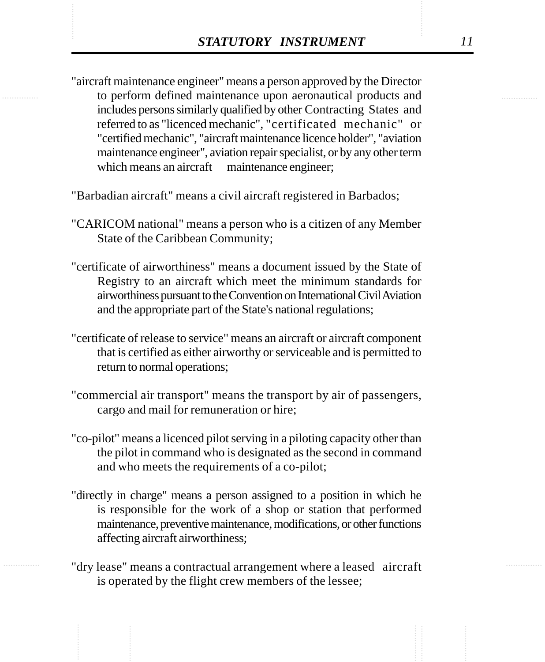**STATUTORY INSTRUMENT** 11<br>
"aircraft maintenance engineer" means a person approved by the Director<br>
to perform defined maintenance upon aeronautical products and "aircraft maintenance engineer" means a person approved by the Director to perform defined maintenance upon aeronautical products and includes persons similarly qualified by other Contracting States and referred to as "licenced mechanic", "certificated mechanic" or "certified mechanic", "aircraft maintenance licence holder", "aviation maintenance engineer", aviation repair specialist, or by any other term which means an aircraft maintenance engineer;

"Barbadian aircraft" means a civil aircraft registered in Barbados;

- "CARICOM national" means a person who is a citizen of any Member State of the Caribbean Community;
- "certificate of airworthiness" means a document issued by the State of Registry to an aircraft which meet the minimum standards for airworthiness pursuant to the Convention on International Civil Aviation and the appropriate part of the State's national regulations;
- "certificate of release to service" means an aircraft or aircraft component that is certified as either airworthy or serviceable and is permitted to return to normal operations;
- "commercial air transport" means the transport by air of passengers, cargo and mail for remuneration or hire;
- "co-pilot" means a licenced pilot serving in a piloting capacity other than the pilot in command who is designated as the second in command and who meets the requirements of a co-pilot;
- "directly in charge" means a person assigned to a position in which he is responsible for the work of a shop or station that performed maintenance, preventive maintenance, modifications, or other functions affecting aircraft airworthiness;
- "dry lease" means a contractual arrangement where a leased aircraft is operated by the flight crew members of the lessee;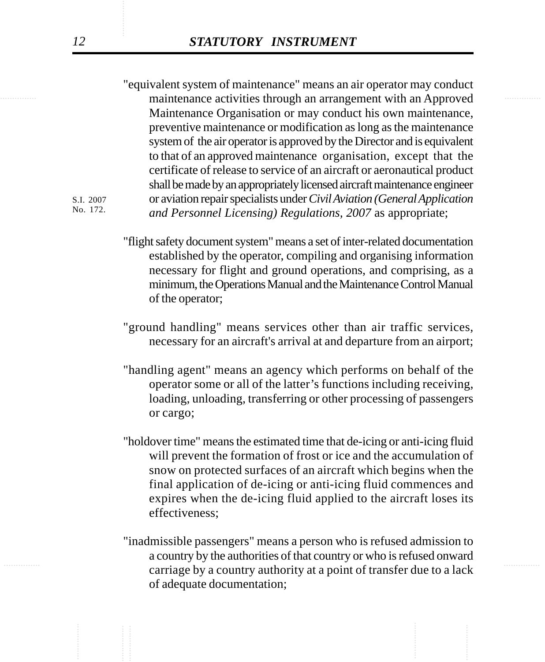maintenance activities through an arrangement with an Approved "equivalent system of maintenance" means an air operator may conduct Maintenance Organisation or may conduct his own maintenance, preventive maintenance or modification as long as the maintenance system of the air operator is approved by the Director and is equivalent to that of an approved maintenance organisation, except that the certificate of release to service of an aircraft or aeronautical product shall be made by an appropriately licensed aircraft maintenance engineer or aviation repair specialists under *Civil Aviation (General Application and Personnel Licensing) Regulations, 2007* as appropriate;

> "flight safety document system" means a set of inter-related documentation established by the operator, compiling and organising information necessary for flight and ground operations, and comprising, as a minimum, the Operations Manual and the Maintenance Control Manual of the operator;

- "ground handling" means services other than air traffic services, necessary for an aircraft's arrival at and departure from an airport;
- "handling agent" means an agency which performs on behalf of the operator some or all of the latter's functions including receiving, loading, unloading, transferring or other processing of passengers or cargo;
- "holdover time" means the estimated time that de-icing or anti-icing fluid will prevent the formation of frost or ice and the accumulation of snow on protected surfaces of an aircraft which begins when the final application of de-icing or anti-icing fluid commences and expires when the de-icing fluid applied to the aircraft loses its effectiveness;
- ............... ............... carriage by a country authority at a point of transfer due to a lack "inadmissible passengers" means a person who is refused admission to a country by the authorities of that country or who is refused onward of adequate documentation;

S.I. 2007 No. 172.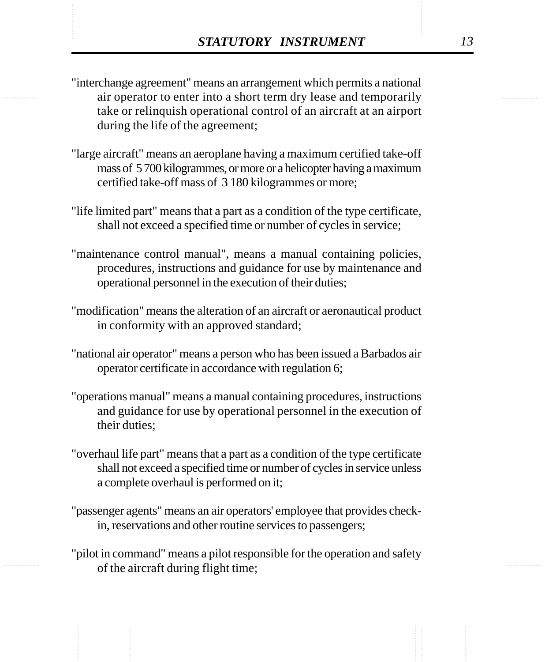- **STATUTORY INSTRUMENT** 13<br>
"interchange agreement" means an arrangement which permits a national<br>
air operator to enter into a short term dry lease and temporarily "interchange agreement" means an arrangement which permits a national air operator to enter into a short term dry lease and temporarily take or relinquish operational control of an aircraft at an airport during the life of the agreement;
	- "large aircraft" means an aeroplane having a maximum certified take-off mass of 5 700 kilogrammes, or more or a helicopter having a maximum certified take-off mass of 3 180 kilogrammes or more;
	- "life limited part" means that a part as a condition of the type certificate, shall not exceed a specified time or number of cycles in service;
	- "maintenance control manual", means a manual containing policies, procedures, instructions and guidance for use by maintenance and operational personnel in the execution of their duties;
	- "modification" means the alteration of an aircraft or aeronautical product in conformity with an approved standard;
	- "national air operator" means a person who has been issued a Barbados air operator certificate in accordance with regulation 6;
	- "operations manual" means a manual containing procedures, instructions and guidance for use by operational personnel in the execution of their duties;
	- "overhaul life part" means that a part as a condition of the type certificate shall not exceed a specified time or number of cycles in service unless a complete overhaul is performed on it;
	- "passenger agents" means an air operators' employee that provides checkin, reservations and other routine services to passengers;
	- "pilot in command" means a pilot responsible for the operation and safety of the aircraft during flight time;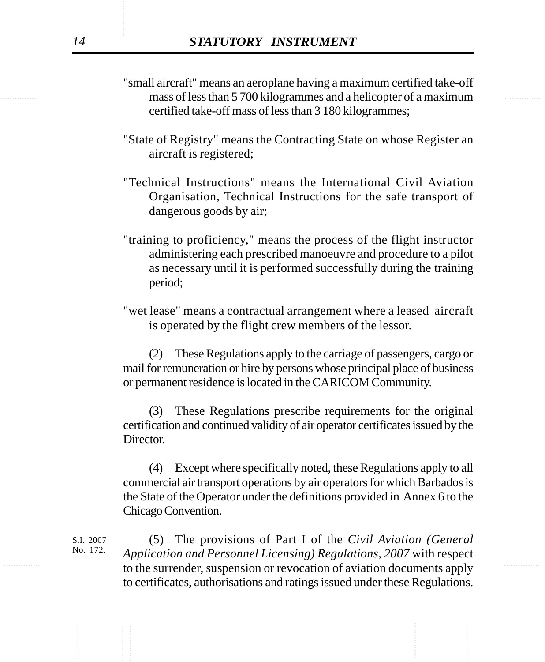- mass of less than 5 700 kilogrammes and a helicopter of a maximum "small aircraft" means an aeroplane having a maximum certified take-off certified take-off mass of less than 3 180 kilogrammes;
	- "State of Registry" means the Contracting State on whose Register an aircraft is registered;
	- "Technical Instructions" means the International Civil Aviation Organisation, Technical Instructions for the safe transport of dangerous goods by air;
	- "training to proficiency," means the process of the flight instructor administering each prescribed manoeuvre and procedure to a pilot as necessary until it is performed successfully during the training period;
	- "wet lease" means a contractual arrangement where a leased aircraft is operated by the flight crew members of the lessor.

(2) These Regulations apply to the carriage of passengers, cargo or mail for remuneration or hire by persons whose principal place of business or permanent residence is located in the CARICOM Community.

(3) These Regulations prescribe requirements for the original certification and continued validity of air operator certificates issued by the Director.

(4) Except where specifically noted, these Regulations apply to all commercial air transport operations by air operators for which Barbados is the State of the Operator under the definitions provided in Annex 6 to the Chicago Convention.

to the surrender, suspension or revocation of aviation documents apply (5) The provisions of Part I of the *Civil Aviation (General Application and Personnel Licensing) Regulations, 2007* with respect to certificates, authorisations and ratings issued under these Regulations. S.I. 2007 No. 172.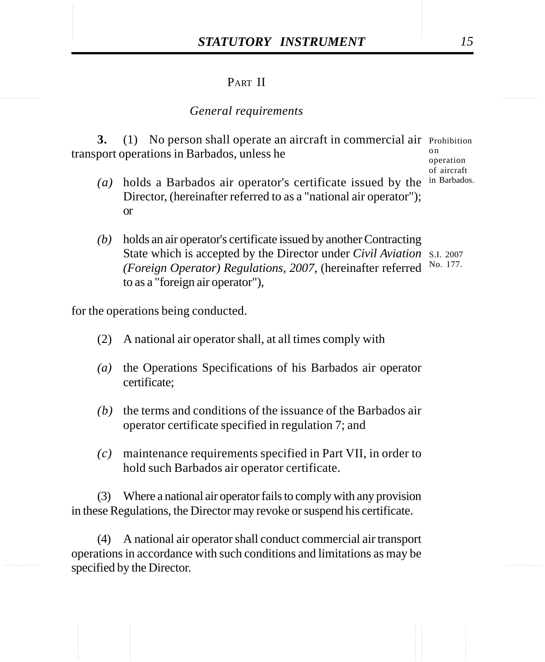### PART II

#### *General requirements*

3. (1) No person shall operate an aircraft in commercial air Prohibition transport operations in Barbados, unless he o n

operation of aircraft in Barbados.

- *(a)* holds a Barbados air operator's certificate issued by the Director, (hereinafter referred to as a "national air operator"); or
- *(b)* holds an air operator's certificate issued by another Contracting State which is accepted by the Director under *Civil Aviation* S.I. 2007 *(Foreign Operator) Regulations, 2007*, (hereinafter referred No. 177.to as a "foreign air operator"),

for the operations being conducted.

- (2) A national air operator shall, at all times comply with
- *(a)* the Operations Specifications of his Barbados air operator certificate;
- *(b)* the terms and conditions of the issuance of the Barbados air operator certificate specified in regulation 7; and
- *(c)* maintenance requirements specified in Part VII, in order to hold such Barbados air operator certificate.

(3) Where a national air operator fails to comply with any provision in these Regulations, the Director may revoke or suspend his certificate.

(4) A national air operator shall conduct commercial air transport operations in accordance with such conditions and limitations as may be specified by the Director.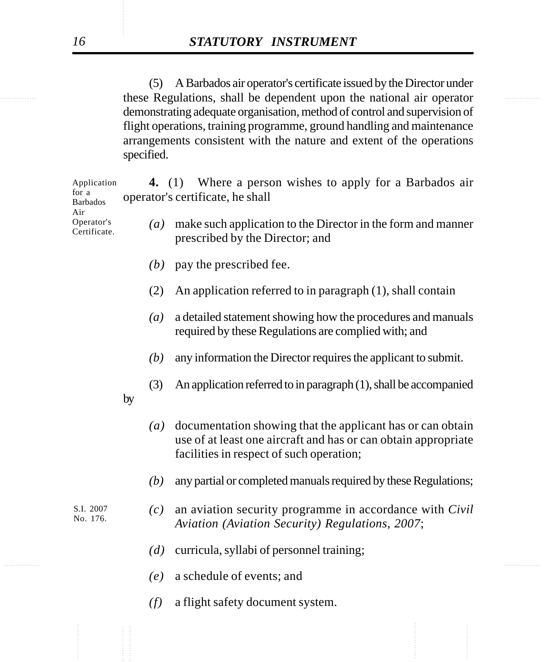............... ............... these Regulations, shall be dependent upon the national air operator (5) A Barbados air operator's certificate issued by the Director under demonstrating adequate organisation, method of control and supervision of flight operations, training programme, ground handling and maintenance arrangements consistent with the nature and extent of the operations specified.

| Application<br>for a<br><b>Barbados</b><br>Air<br>Operator's<br>Certificate. |    | 4. (1) Where a person wishes to apply for a Barbados air<br>operator's certificate, he shall |                                                                                                                                                                          |  |  |
|------------------------------------------------------------------------------|----|----------------------------------------------------------------------------------------------|--------------------------------------------------------------------------------------------------------------------------------------------------------------------------|--|--|
|                                                                              |    | $\left(a\right)$                                                                             | make such application to the Director in the form and manner<br>prescribed by the Director; and                                                                          |  |  |
|                                                                              |    | (b)                                                                                          | pay the prescribed fee.                                                                                                                                                  |  |  |
|                                                                              |    | (2)                                                                                          | An application referred to in paragraph (1), shall contain                                                                                                               |  |  |
|                                                                              |    | $\left(a\right)$                                                                             | a detailed statement showing how the procedures and manuals<br>required by these Regulations are complied with; and                                                      |  |  |
|                                                                              |    | (b)                                                                                          | any information the Director requires the applicant to submit.                                                                                                           |  |  |
|                                                                              | by | (3)                                                                                          | An application referred to in paragraph (1), shall be accompanied                                                                                                        |  |  |
|                                                                              |    | $\left(a\right)$                                                                             | documentation showing that the applicant has or can obtain<br>use of at least one aircraft and has or can obtain appropriate<br>facilities in respect of such operation; |  |  |
|                                                                              |    | (b)                                                                                          | any partial or completed manuals required by these Regulations;                                                                                                          |  |  |
| S.I. 2007<br>No. 176.                                                        |    | (c)                                                                                          | an aviation security programme in accordance with <i>Civil</i><br>Aviation (Aviation Security) Regulations, 2007;                                                        |  |  |
|                                                                              |    | (d)                                                                                          | curricula, syllabi of personnel training;                                                                                                                                |  |  |
|                                                                              |    | (e)                                                                                          | a schedule of events; and                                                                                                                                                |  |  |
|                                                                              |    | (f)                                                                                          | a flight safety document system.                                                                                                                                         |  |  |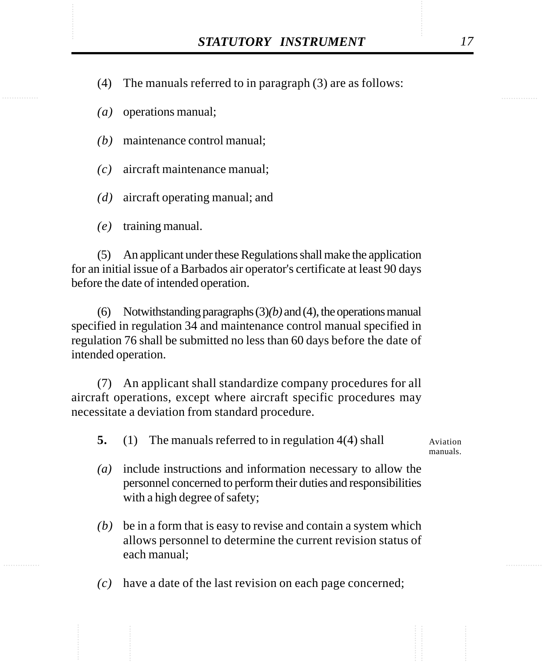STATUTORY INSTRUMENT 17<br>(4) The manuals referred to in paragraph (3) are as follows: (4) The manuals referred to in paragraph (3) are as follows:

*(a)* operations manual;

*(b)* maintenance control manual;

*(c)* aircraft maintenance manual;

*(d)* aircraft operating manual; and

*(e)* training manual.

(5) An applicant under these Regulations shall make the application for an initial issue of a Barbados air operator's certificate at least 90 days before the date of intended operation.

(6) Notwithstanding paragraphs (3)*(b)* and (4), the operations manual specified in regulation 34 and maintenance control manual specified in regulation 76 shall be submitted no less than 60 days before the date of intended operation.

(7) An applicant shall standardize company procedures for all aircraft operations, except where aircraft specific procedures may necessitate a deviation from standard procedure.

**5.** (1) The manuals referred to in regulation 4(4) shall

Aviation manuals.

- *(a)* include instructions and information necessary to allow the personnel concerned to perform their duties and responsibilities with a high degree of safety;
- *(b)* be in a form that is easy to revise and contain a system which allows personnel to determine the current revision status of each manual;

*(c)* have a date of the last revision on each page concerned;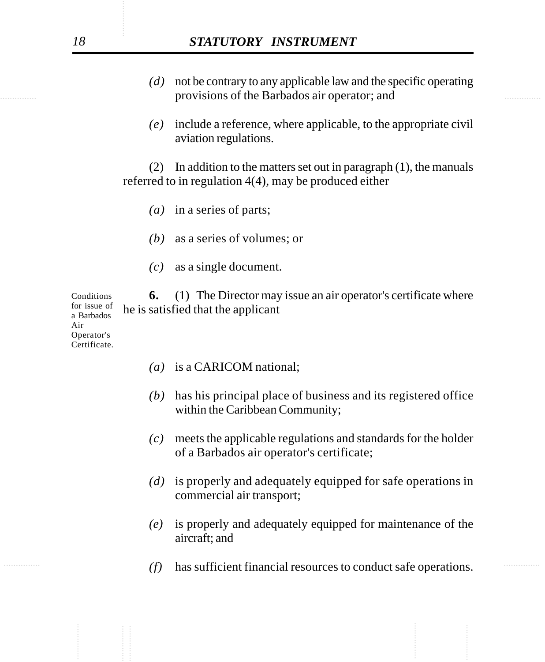# *18 STATUTORY INSTRUMENT*

- expressions of the Barbados air operator; and *(d)* not be contrary to any applicable law and the specific operating
	- *(e)* include a reference, where applicable, to the appropriate civil aviation regulations.

(2) In addition to the matters set out in paragraph (1), the manuals referred to in regulation 4(4), may be produced either

- *(a)* in a series of parts;
- *(b)* as a series of volumes; or
- *(c)* as a single document.

**6.** (1) The Director may issue an air operator's certificate where he is satisfied that the applicant Conditions for issue of

a Barbados Air Operator's Certificate.

- *(a)* is a CARICOM national;
- *(b)* has his principal place of business and its registered office within the Caribbean Community;
- *(c)* meets the applicable regulations and standards for the holder of a Barbados air operator's certificate;
- *(d)* is properly and adequately equipped for safe operations in commercial air transport;
- *(e)* is properly and adequately equipped for maintenance of the aircraft; and
- *(f)* has sufficient financial resources to conduct safe operations.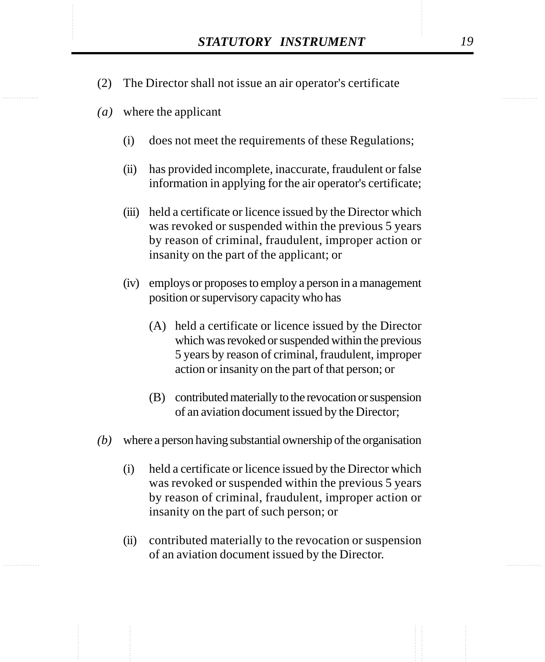- STATUTORY INSTRUMENT 19<br>(2) The Director shall not issue an air operator's certificate (2) The Director shall not issue an air operator's certificate
	- *(a)* where the applicant
		- (i) does not meet the requirements of these Regulations;
		- (ii) has provided incomplete, inaccurate, fraudulent or false information in applying for the air operator's certificate;
		- (iii) held a certificate or licence issued by the Director which was revoked or suspended within the previous 5 years by reason of criminal, fraudulent, improper action or insanity on the part of the applicant; or
		- (iv) employs or proposes to employ a person in a management position or supervisory capacity who has
			- (A) held a certificate or licence issued by the Director which was revoked or suspended within the previous 5 years by reason of criminal, fraudulent, improper action or insanity on the part of that person; or
			- (B) contributed materially to the revocation or suspension of an aviation document issued by the Director;
	- *(b)* where a person having substantial ownership of the organisation
		- (i) held a certificate or licence issued by the Director which was revoked or suspended within the previous 5 years by reason of criminal, fraudulent, improper action or insanity on the part of such person; or
		- (ii) contributed materially to the revocation or suspension of an aviation document issued by the Director.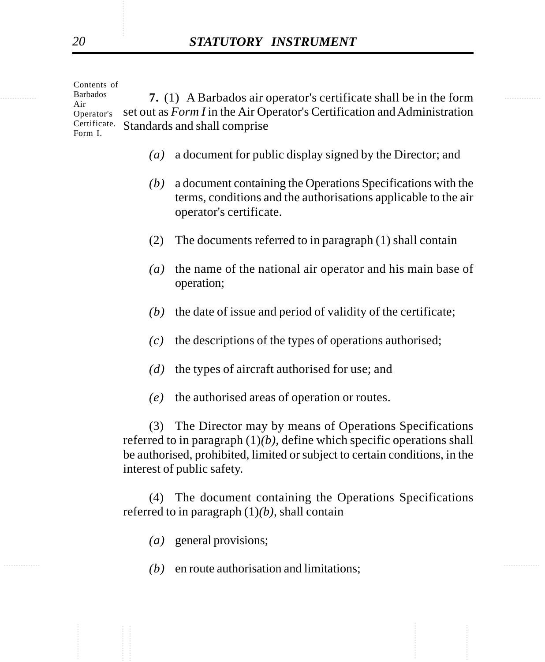$\frac{\text{Barbados}}{\text{Air}}$  **7.** (1) A Barbados air operator's certificate shall be in the form set out as *Form I* in the Air Operator's Certification and Administration Standards and shall comprise Contents of Barbados Air Operator's Certificate. Form I.

- *(a)* a document for public display signed by the Director; and
- *(b)* a document containing the Operations Specifications with the terms, conditions and the authorisations applicable to the air operator's certificate.
- (2) The documents referred to in paragraph (1) shall contain
- *(a)* the name of the national air operator and his main base of operation;
- *(b)* the date of issue and period of validity of the certificate;
- *(c)* the descriptions of the types of operations authorised;
- *(d)* the types of aircraft authorised for use; and
- *(e)* the authorised areas of operation or routes.

(3) The Director may by means of Operations Specifications referred to in paragraph (1)*(b)*, define which specific operations shall be authorised, prohibited, limited or subject to certain conditions, in the interest of public safety.

(4) The document containing the Operations Specifications referred to in paragraph (1)*(b)*, shall contain

- *(a)* general provisions;
- $(b)$  en route authorisation and limitations;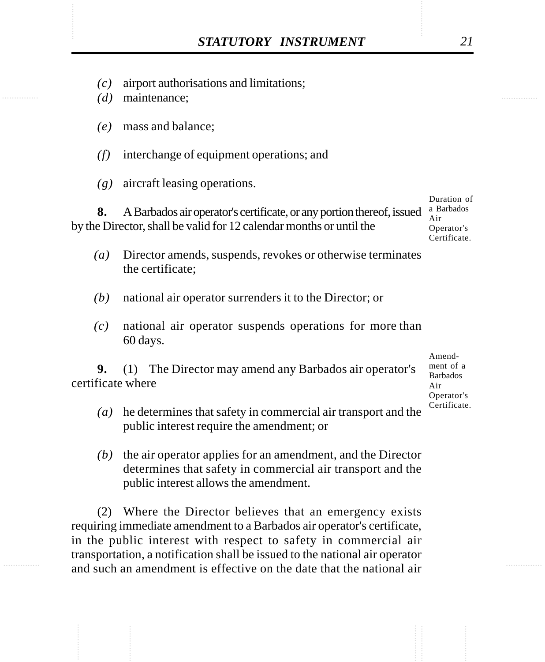- STATUTORY INSTRUMENT<br>
(c) airport authorisations and limitations;<br>
(d) maintenance: *(c)* airport authorisations and limitations;
	- *(d)* maintenance;
	- *(e)* mass and balance;
	- *(f)* interchange of equipment operations; and
	- *(g)* aircraft leasing operations.

**8.** A Barbados air operator's certificate, or any portion thereof, issued  $\frac{a}{\lambda}$  Barbados by the Director, shall be valid for 12 calendar months or until the Duration of Air Operator's Certificate.

- *(a)* Director amends, suspends, revokes or otherwise terminates the certificate;
- *(b)* national air operator surrenders it to the Director; or
- *(c)* national air operator suspends operations for more than 60 days.

**9.** (1) The Director may amend any Barbados air operator's certificate where

Amendment of a Barbados Air Operator's Certificate.

- *(a)* he determines that safety in commercial air transport and the public interest require the amendment; or
- *(b)* the air operator applies for an amendment, and the Director determines that safety in commercial air transport and the public interest allows the amendment.

(2) Where the Director believes that an emergency exists requiring immediate amendment to a Barbados air operator's certificate, in the public interest with respect to safety in commercial air transportation, a notification shall be issued to the national air operator and such an amendment is effective on the date that the national air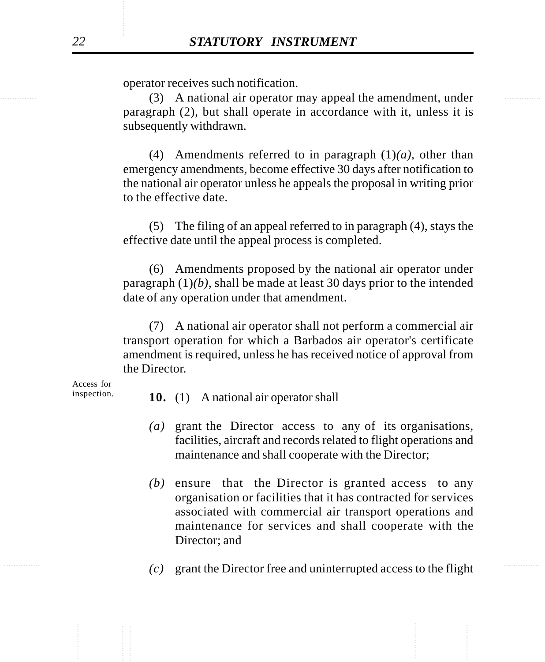operator receives such notification.

(3) A national air operator may appeal the amendment, under paragraph (2), but shall operate in accordance with it, unless it is subsequently withdrawn.

> (4) Amendments referred to in paragraph (1)*(a)*, other than emergency amendments, become effective 30 days after notification to the national air operator unless he appeals the proposal in writing prior to the effective date.

> (5) The filing of an appeal referred to in paragraph (4), stays the effective date until the appeal process is completed.

> (6) Amendments proposed by the national air operator under paragraph (1)*(b)*, shall be made at least 30 days prior to the intended date of any operation under that amendment.

> (7) A national air operator shall not perform a commercial air transport operation for which a Barbados air operator's certificate amendment is required, unless he has received notice of approval from the Director.

Access for inspection.

- **10.** (1) A national air operator shall
- *(a)* grant the Director access to any of its organisations, facilities, aircraft and records related to flight operations and maintenance and shall cooperate with the Director;
- *(b)* ensure that the Director is granted access to any organisation or facilities that it has contracted for services associated with commercial air transport operations and maintenance for services and shall cooperate with the Director; and
- $(c)$  grant the Director free and uninterrupted access to the flight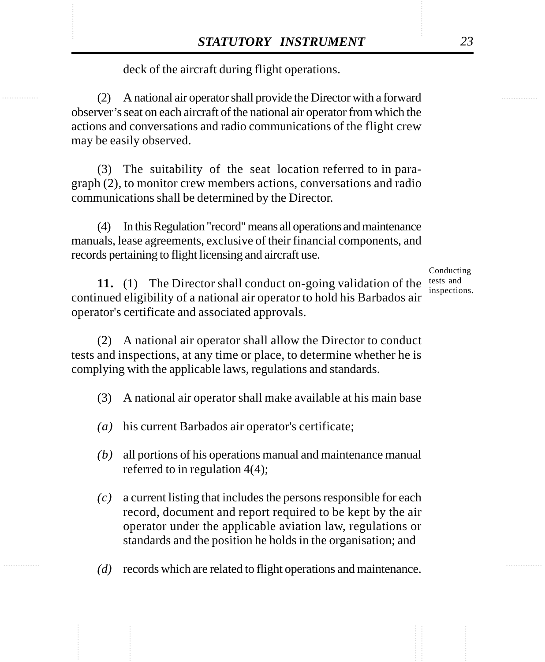deck of the aircraft during flight operations.

**STATUTORY INSTRUMENT** 23<br>deck of the aircraft during flight operations.<br>(2) A national air operator shall provide the Director with a forward (2) A national air operator shall provide the Director with a forward observer's seat on each aircraft of the national air operator from which the actions and conversations and radio communications of the flight crew may be easily observed.

> (3) The suitability of the seat location referred to in paragraph (2), to monitor crew members actions, conversations and radio communications shall be determined by the Director.

> (4) In this Regulation "record" means all operations and maintenance manuals, lease agreements, exclusive of their financial components, and records pertaining to flight licensing and aircraft use.

> > Conducting inspections.

**11.** (1) The Director shall conduct on-going validation of the tests and continued eligibility of a national air operator to hold his Barbados air operator's certificate and associated approvals.

(2) A national air operator shall allow the Director to conduct tests and inspections, at any time or place, to determine whether he is complying with the applicable laws, regulations and standards.

- (3) A national air operator shall make available at his main base
- *(a)* his current Barbados air operator's certificate;
- *(b)* all portions of his operations manual and maintenance manual referred to in regulation 4(4);
- *(c)* a current listing that includes the persons responsible for each record, document and report required to be kept by the air operator under the applicable aviation law, regulations or standards and the position he holds in the organisation; and
- *(d)* records which are related to flight operations and maintenance.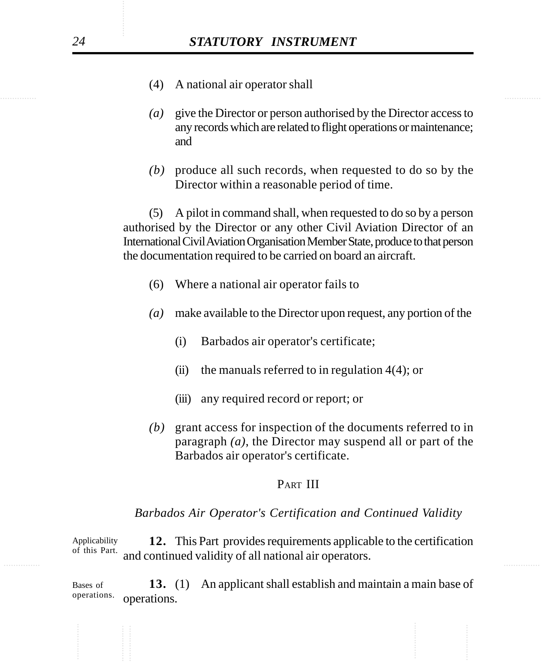- (4) A national air operator shall
- *(a)* give the Director or person authorised by the Director access to any records which are related to flight operations or maintenance; and
- *(b)* produce all such records, when requested to do so by the Director within a reasonable period of time.

(5) A pilot in command shall, when requested to do so by a person authorised by the Director or any other Civil Aviation Director of an International Civil Aviation Organisation Member State, produce to that person the documentation required to be carried on board an aircraft.

- (6) Where a national air operator fails to
- *(a)* make available to the Director upon request, any portion of the
	- (i) Barbados air operator's certificate;
	- (ii) the manuals referred to in regulation  $4(4)$ ; or
	- (iii) any required record or report; or
- *(b)* grant access for inspection of the documents referred to in paragraph *(a)*, the Director may suspend all or part of the Barbados air operator's certificate.

#### PART III

#### *Barbados Air Operator's Certification and Continued Validity*

of this Part. and continued validity of all national air operators. **12.** This Part provides requirements applicable to the certification Applicability of this Part.

> **13.** (1) An applicant shall establish and maintain a main base of operations. Bases of operations.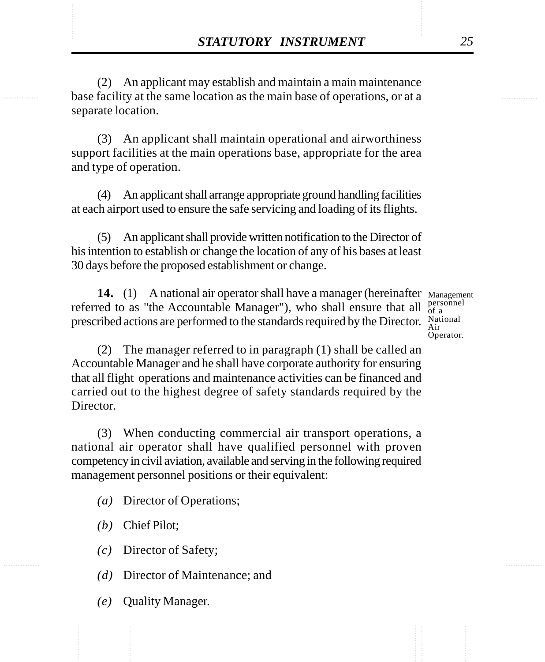**STATUTORY INSTRUMENT** 25<br>(2) An applicant may establish and maintain a main maintenance<br>base facility at the same location as the main base of operations, or at a (2) An applicant may establish and maintain a main maintenance base facility at the same location as the main base of operations, or at a separate location.

> (3) An applicant shall maintain operational and airworthiness support facilities at the main operations base, appropriate for the area and type of operation.

> (4) An applicant shall arrange appropriate ground handling facilities at each airport used to ensure the safe servicing and loading of its flights.

> (5) An applicant shall provide written notification to the Director of his intention to establish or change the location of any of his bases at least 30 days before the proposed establishment or change.

14. (1) A national air operator shall have a manager (hereinafter Management referred to as "the Accountable Manager"), who shall ensure that all prescribed actions are performed to the standards required by the Director. National

personnel of a Operator.

(2) The manager referred to in paragraph (1) shall be called an Accountable Manager and he shall have corporate authority for ensuring that all flight operations and maintenance activities can be financed and carried out to the highest degree of safety standards required by the Director.

(3) When conducting commercial air transport operations, a national air operator shall have qualified personnel with proven competency in civil aviation, available and serving in the following required management personnel positions or their equivalent:

- *(a)* Director of Operations;
- *(b)* Chief Pilot;
- *(c)* Director of Safety;
- *(d)* Director of Maintenance; and
- *(e)* Quality Manager.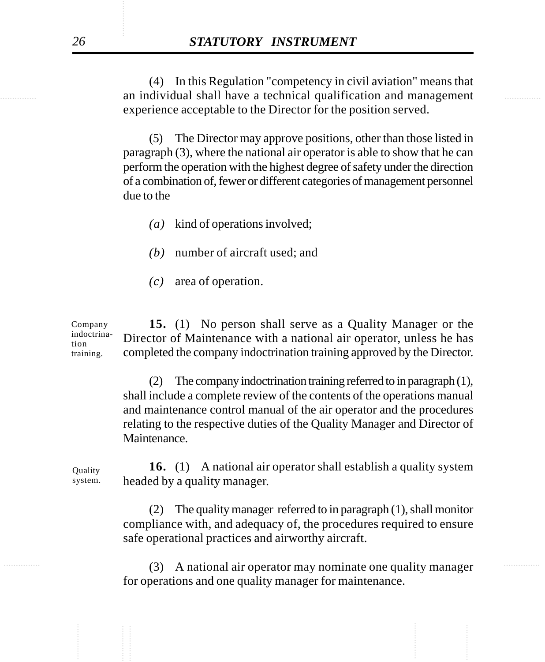............... ............... an individual shall have a technical qualification and management (4) In this Regulation "competency in civil aviation" means that experience acceptable to the Director for the position served.

> (5) The Director may approve positions, other than those listed in paragraph (3), where the national air operator is able to show that he can perform the operation with the highest degree of safety under the direction of a combination of, fewer or different categories of management personnel due to the

- *(a)* kind of operations involved;
- *(b)* number of aircraft used; and
- *(c)* area of operation.

**15.** (1) No person shall serve as a Quality Manager or the Director of Maintenance with a national air operator, unless he has completed the company indoctrination training approved by the Director. Company indoctrination training.

> (2) The company indoctrination training referred to in paragraph (1), shall include a complete review of the contents of the operations manual and maintenance control manual of the air operator and the procedures relating to the respective duties of the Quality Manager and Director of Maintenance.

**16.** (1) A national air operator shall establish a quality system headed by a quality manager. **Quality** system.

> (2) The quality manager referred to in paragraph (1), shall monitor compliance with, and adequacy of, the procedures required to ensure safe operational practices and airworthy aircraft.

............... ............... (3) A national air operator may nominate one quality manager for operations and one quality manager for maintenance.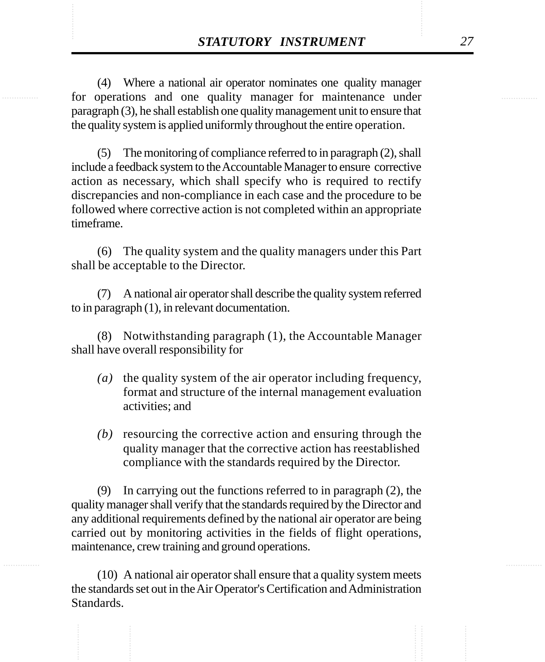**STATUTORY INSTRUMENT** 27<br>(4) Where a national air operator nominates one quality manager<br>for operations and one quality manager for maintenance under (4) Where a national air operator nominates one quality manager for operations and one quality manager for maintenance under paragraph (3), he shall establish one quality management unit to ensure that the quality system is applied uniformly throughout the entire operation.

> (5) The monitoring of compliance referred to in paragraph (2), shall include a feedback system to the Accountable Manager to ensure corrective action as necessary, which shall specify who is required to rectify discrepancies and non-compliance in each case and the procedure to be followed where corrective action is not completed within an appropriate timeframe.

> (6) The quality system and the quality managers under this Part shall be acceptable to the Director.

> (7) A national air operator shall describe the quality system referred to in paragraph (1), in relevant documentation.

> (8) Notwithstanding paragraph (1), the Accountable Manager shall have overall responsibility for

- *(a)* the quality system of the air operator including frequency, format and structure of the internal management evaluation activities; and
- *(b)* resourcing the corrective action and ensuring through the quality manager that the corrective action has reestablished compliance with the standards required by the Director.

(9) In carrying out the functions referred to in paragraph (2), the quality manager shall verify that the standards required by the Director and any additional requirements defined by the national air operator are being carried out by monitoring activities in the fields of flight operations, maintenance, crew training and ground operations.

(10) A national air operator shall ensure that a quality system meets the standards set out in the Air Operator's Certification and Administration Standards.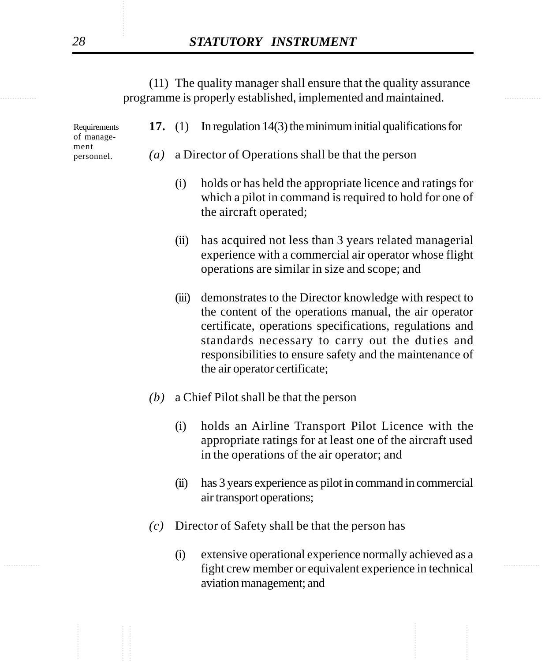............... ............... programme is properly established, implemented and maintained. (11) The quality manager shall ensure that the quality assurance

| Requirements<br>of manage- |                   |       | 17. $(1)$ In regulation 14(3) the minimum initial qualifications for                                                                                                                                                                                                                                                        |
|----------------------------|-------------------|-------|-----------------------------------------------------------------------------------------------------------------------------------------------------------------------------------------------------------------------------------------------------------------------------------------------------------------------------|
| ment<br>personnel.         | $\left( a\right)$ |       | a Director of Operations shall be that the person                                                                                                                                                                                                                                                                           |
|                            |                   | (i)   | holds or has held the appropriate licence and ratings for<br>which a pilot in command is required to hold for one of<br>the aircraft operated;                                                                                                                                                                              |
|                            |                   | (ii)  | has acquired not less than 3 years related managerial<br>experience with a commercial air operator whose flight<br>operations are similar in size and scope; and                                                                                                                                                            |
|                            |                   | (iii) | demonstrates to the Director knowledge with respect to<br>the content of the operations manual, the air operator<br>certificate, operations specifications, regulations and<br>standards necessary to carry out the duties and<br>responsibilities to ensure safety and the maintenance of<br>the air operator certificate; |
|                            | (b)               |       | a Chief Pilot shall be that the person                                                                                                                                                                                                                                                                                      |

- (i) holds an Airline Transport Pilot Licence with the appropriate ratings for at least one of the aircraft used in the operations of the air operator; and
- (ii) has 3 years experience as pilot in command in commercial air transport operations;
- *(c)* Director of Safety shall be that the person has
- experience in technical fight crew member or equivalent experience in technical (i) extensive operational experience normally achieved as a aviation management; and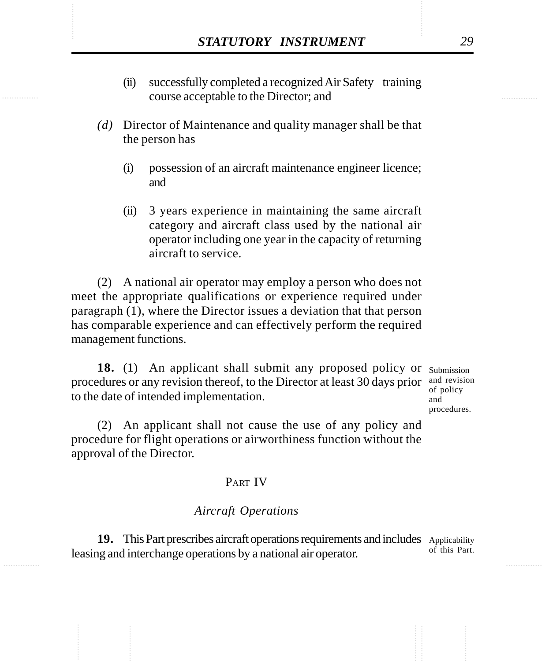- **STATUTORY INSTRUMENT** 29<br>
(ii) successfully completed a recognized Air Safety training<br>
course acceptable to the Director; and (ii) successfully completed a recognized Air Safety training course acceptable to the Director; and
	- *(d)* Director of Maintenance and quality manager shall be that the person has
		- (i) possession of an aircraft maintenance engineer licence; and
		- (ii) 3 years experience in maintaining the same aircraft category and aircraft class used by the national air operator including one year in the capacity of returning aircraft to service.

(2) A national air operator may employ a person who does not meet the appropriate qualifications or experience required under paragraph (1), where the Director issues a deviation that that person has comparable experience and can effectively perform the required management functions.

18. (1) An applicant shall submit any proposed policy or Submission procedures or any revision thereof, to the Director at least 30 days prior  $\frac{1}{2}$  and revision to the date of intended implementation.

of policy and procedures.

(2) An applicant shall not cause the use of any policy and procedure for flight operations or airworthiness function without the approval of the Director.

# PART IV

### *Aircraft Operations*

19. This Part prescribes aircraft operations requirements and includes Applicability leasing and interchange operations by a national air operator. of this Part.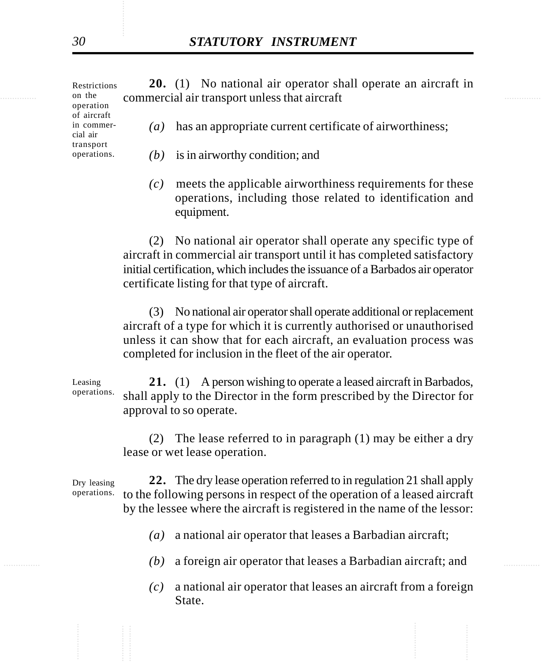on the commercial air transport unless that aircraft **20.** (1) No national air operator shall operate an aircraft in *(a)* has an appropriate current certificate of airworthiness; *(b)* is in airworthy condition; and Restrictions on the operation of aircraft in commercial air transport operations.

> *(c)* meets the applicable airworthiness requirements for these operations, including those related to identification and equipment.

(2) No national air operator shall operate any specific type of aircraft in commercial air transport until it has completed satisfactory initial certification, which includes the issuance of a Barbados air operator certificate listing for that type of aircraft.

(3) No national air operator shall operate additional or replacement aircraft of a type for which it is currently authorised or unauthorised unless it can show that for each aircraft, an evaluation process was completed for inclusion in the fleet of the air operator.

**21.** (1) A person wishing to operate a leased aircraft in Barbados, shall apply to the Director in the form prescribed by the Director for approval to so operate.

(2) The lease referred to in paragraph (1) may be either a dry lease or wet lease operation.

**22.** The dry lease operation referred to in regulation 21 shall apply to the following persons in respect of the operation of a leased aircraft by the lessee where the aircraft is registered in the name of the lessor: Dry leasing operations.

- *(a)* a national air operator that leases a Barbadian aircraft;
- ............... ............... *(b)* a foreign air operator that leases a Barbadian aircraft; and
	- *(c)* a national air operator that leases an aircraft from a foreign State.

Leasing operations.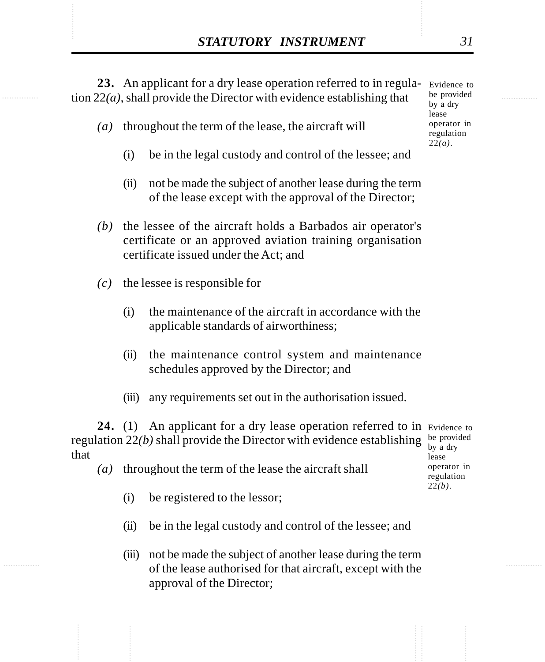**STATUTORY INSTRUMENT** 31<br>
23. An applicant for a dry lease operation referred to in regula-<br>
tion 22(*a*), shall provide the Director with evidence establishing that <sup>be provided</sup> 23. An applicant for a dry lease operation referred to in regula- Evidence to tion 22*(a)*, shall provide the Director with evidence establishing that

- *(a)* throughout the term of the lease, the aircraft will
	- (i) be in the legal custody and control of the lessee; and
	- (ii) not be made the subject of another lease during the term of the lease except with the approval of the Director;
- *(b)* the lessee of the aircraft holds a Barbados air operator's certificate or an approved aviation training organisation certificate issued under the Act; and
- *(c)* the lessee is responsible for
	- (i) the maintenance of the aircraft in accordance with the applicable standards of airworthiness;
	- (ii) the maintenance control system and maintenance schedules approved by the Director; and
	- (iii) any requirements set out in the authorisation issued.

24. (1) An applicant for a dry lease operation referred to in Evidence to regulation  $22(b)$  shall provide the Director with evidence establishing be provided that lease

- *(a)* throughout the term of the lease the aircraft shall
	- (i) be registered to the lessor;
	- (ii) be in the legal custody and control of the lessee; and
	- (iii) not be made the subject of another lease during the term of the lease authorised for that aircraft, except with the approval of the Director;

by a dry operator in regulation 22*(b)*.

be provided by a dry lease operator in regulation 22*(a)*.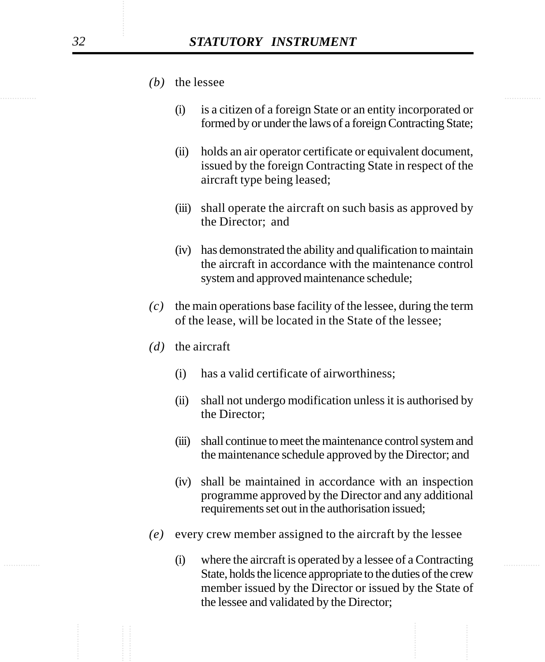- *(b)* the lessee
	- (i) is a citizen of a foreign State or an entity incorporated or formed by or under the laws of a foreign Contracting State;
	- (ii) holds an air operator certificate or equivalent document, issued by the foreign Contracting State in respect of the aircraft type being leased;
	- (iii) shall operate the aircraft on such basis as approved by the Director; and
	- (iv) has demonstrated the ability and qualification to maintain the aircraft in accordance with the maintenance control system and approved maintenance schedule;
- *(c)* the main operations base facility of the lessee, during the term of the lease, will be located in the State of the lessee;
- *(d)* the aircraft
	- (i) has a valid certificate of airworthiness;
	- (ii) shall not undergo modification unless it is authorised by the Director;
	- (iii) shall continue to meet the maintenance control system and the maintenance schedule approved by the Director; and
	- (iv) shall be maintained in accordance with an inspection programme approved by the Director and any additional requirements set out in the authorisation issued;
- *(e)* every crew member assigned to the aircraft by the lessee
- ............... ............... (i) where the aircraft is operated by a lessee of a Contracting State, holds the licence appropriate to the duties of the crew member issued by the Director or issued by the State of the lessee and validated by the Director;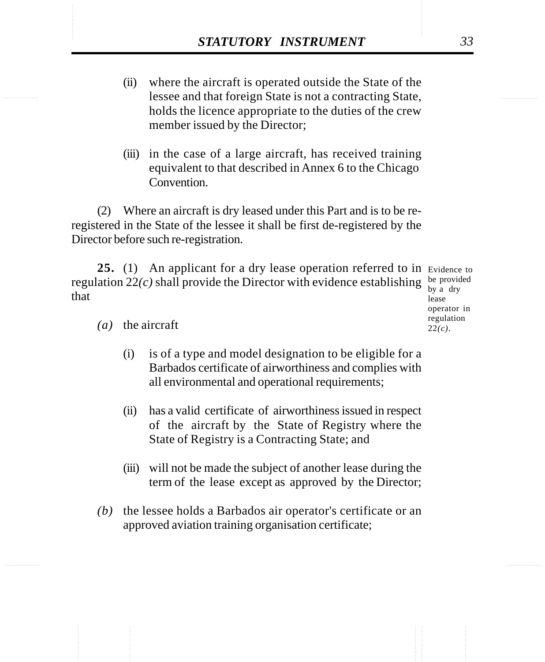- **STATUTORY INSTRUMENT** 33<br>
(ii) where the aircraft is operated outside the State of the<br>
lessee and that foreign State is not a contracting State, (ii) where the aircraft is operated outside the State of the lessee and that foreign State is not a contracting State, holds the licence appropriate to the duties of the crew member issued by the Director;
	- (iii) in the case of a large aircraft, has received training equivalent to that described in Annex 6 to the Chicago Convention.

(2) Where an aircraft is dry leased under this Part and is to be reregistered in the State of the lessee it shall be first de-registered by the Director before such re-registration.

25. (1) An applicant for a dry lease operation referred to in Evidence to regulation  $22(c)$  shall provide the Director with evidence establishing be provided that

by a dry lease operator in regulation 22*(c)*.

*(a)* the aircraft

- (i) is of a type and model designation to be eligible for a Barbados certificate of airworthiness and complies with all environmental and operational requirements;
- (ii) has a valid certificate of airworthiness issued in respect of the aircraft by the State of Registry where the State of Registry is a Contracting State; and
- (iii) will not be made the subject of another lease during the term of the lease except as approved by the Director;
- *(b)* the lessee holds a Barbados air operator's certificate or an approved aviation training organisation certificate;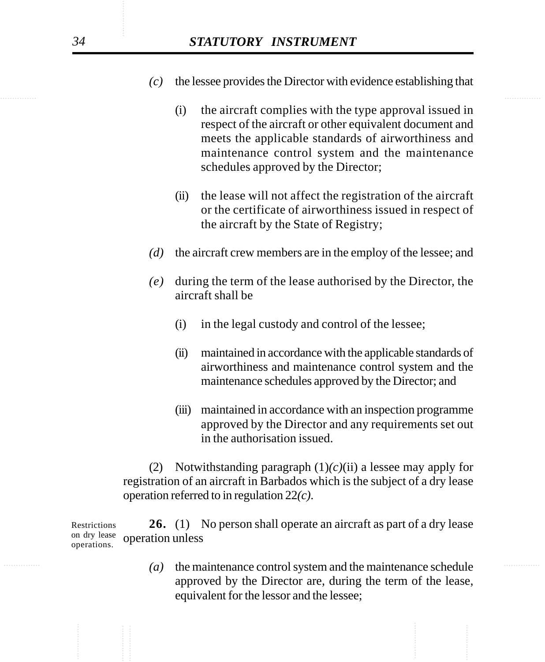- *(c)* the lessee provides the Director with evidence establishing that
	- (i) the aircraft complies with the type approval issued in respect of the aircraft or other equivalent document and meets the applicable standards of airworthiness and maintenance control system and the maintenance schedules approved by the Director;
	- (ii) the lease will not affect the registration of the aircraft or the certificate of airworthiness issued in respect of the aircraft by the State of Registry;
- *(d)* the aircraft crew members are in the employ of the lessee; and
- *(e)* during the term of the lease authorised by the Director, the aircraft shall be
	- (i) in the legal custody and control of the lessee;
	- (ii) maintained in accordance with the applicable standards of airworthiness and maintenance control system and the maintenance schedules approved by the Director; and
	- (iii) maintained in accordance with an inspection programme approved by the Director and any requirements set out in the authorisation issued.

(2) Notwithstanding paragraph  $(1)(c)(ii)$  a lessee may apply for registration of an aircraft in Barbados which is the subject of a dry lease operation referred to in regulation 22*(c)*.

**26.** (1) No person shall operate an aircraft as part of a dry lease operation unless Restrictions on dry lease operations.

............... ............... *(a)* the maintenance control system and the maintenance schedule approved by the Director are, during the term of the lease, equivalent for the lessor and the lessee;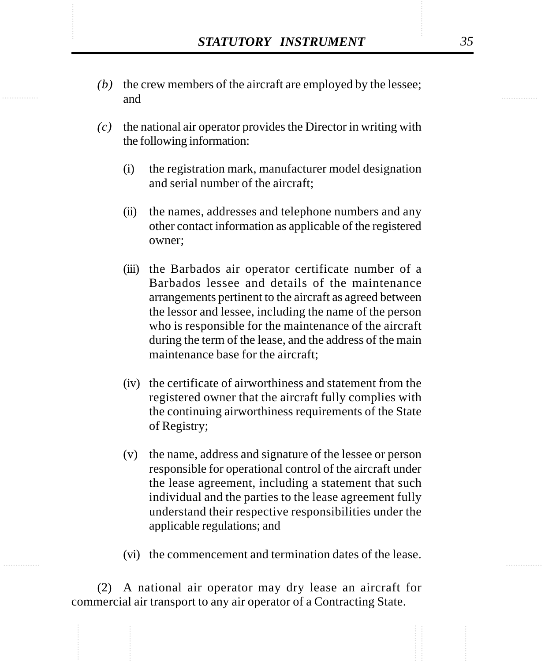- STATUTORY INSTRUMENT 35<br>
(b) the crew members of the aircraft are employed by the lessee; *(b)* the crew members of the aircraft are employed by the lessee; and
	- *(c)* the national air operator provides the Director in writing with the following information:
		- (i) the registration mark, manufacturer model designation and serial number of the aircraft;
		- (ii) the names, addresses and telephone numbers and any other contact information as applicable of the registered owner;
		- (iii) the Barbados air operator certificate number of a Barbados lessee and details of the maintenance arrangements pertinent to the aircraft as agreed between the lessor and lessee, including the name of the person who is responsible for the maintenance of the aircraft during the term of the lease, and the address of the main maintenance base for the aircraft;
		- (iv) the certificate of airworthiness and statement from the registered owner that the aircraft fully complies with the continuing airworthiness requirements of the State of Registry;
		- (v) the name, address and signature of the lessee or person responsible for operational control of the aircraft under the lease agreement, including a statement that such individual and the parties to the lease agreement fully understand their respective responsibilities under the applicable regulations; and
		- (vi) the commencement and termination dates of the lease.

(2) A national air operator may dry lease an aircraft for commercial air transport to any air operator of a Contracting State.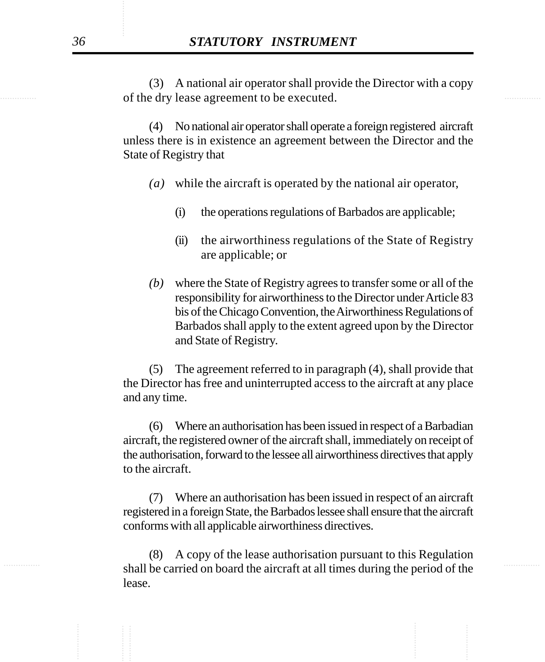of the dry lease agreement to be executed. (3) A national air operator shall provide the Director with a copy

> (4) No national air operator shall operate a foreign registered aircraft unless there is in existence an agreement between the Director and the State of Registry that

- *(a)* while the aircraft is operated by the national air operator,
	- (i) the operations regulations of Barbados are applicable;
	- (ii) the airworthiness regulations of the State of Registry are applicable; or
- *(b)* where the State of Registry agrees to transfer some or all of the responsibility for airworthiness to the Director under Article 83 bis of the Chicago Convention, the Airworthiness Regulations of Barbados shall apply to the extent agreed upon by the Director and State of Registry.

(5) The agreement referred to in paragraph (4), shall provide that the Director has free and uninterrupted access to the aircraft at any place and any time.

(6) Where an authorisation has been issued in respect of a Barbadian aircraft, the registered owner of the aircraft shall, immediately on receipt of the authorisation, forward to the lessee all airworthiness directives that apply to the aircraft.

(7) Where an authorisation has been issued in respect of an aircraft registered in a foreign State, the Barbados lessee shall ensure that the aircraft conforms with all applicable airworthiness directives.

shall be carried on board the aircraft at all times during the period of the (8) A copy of the lease authorisation pursuant to this Regulation lease.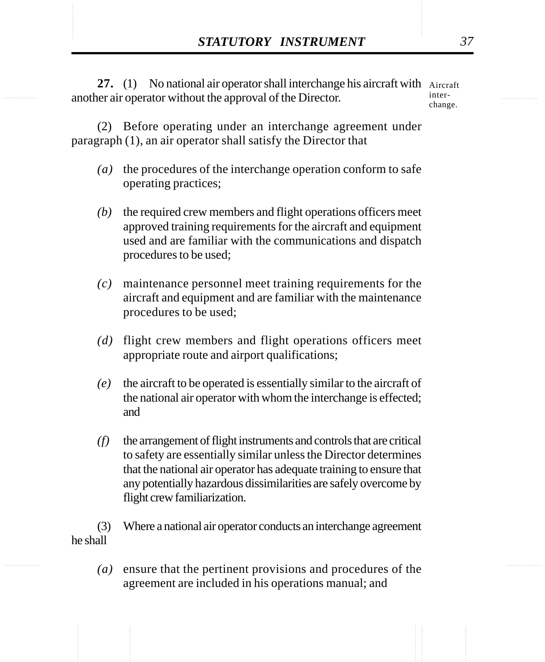**STATUTORY INSTRUMENT** 37<br>
27. (1) No national air operator shall interchange his aircraft with Aircraft<br>
another air operator without the approval of the Director. 27. (1) No national air operator shall interchange his aircraft with Aircraft another air operator without the approval of the Director. interchange.

> (2) Before operating under an interchange agreement under paragraph (1), an air operator shall satisfy the Director that

- *(a)* the procedures of the interchange operation conform to safe operating practices;
- *(b)* the required crew members and flight operations officers meet approved training requirements for the aircraft and equipment used and are familiar with the communications and dispatch procedures to be used;
- *(c)* maintenance personnel meet training requirements for the aircraft and equipment and are familiar with the maintenance procedures to be used;
- *(d)* flight crew members and flight operations officers meet appropriate route and airport qualifications;
- *(e)* the aircraft to be operated is essentially similar to the aircraft of the national air operator with whom the interchange is effected; and
- *(f)* the arrangement of flight instruments and controls that are critical to safety are essentially similar unless the Director determines that the national air operator has adequate training to ensure that any potentially hazardous dissimilarities are safely overcome by flight crew familiarization.

(3) Where a national air operator conducts an interchange agreement he shall

*(a)* ensure that the pertinent provisions and procedures of the agreement are included in his operations manual; and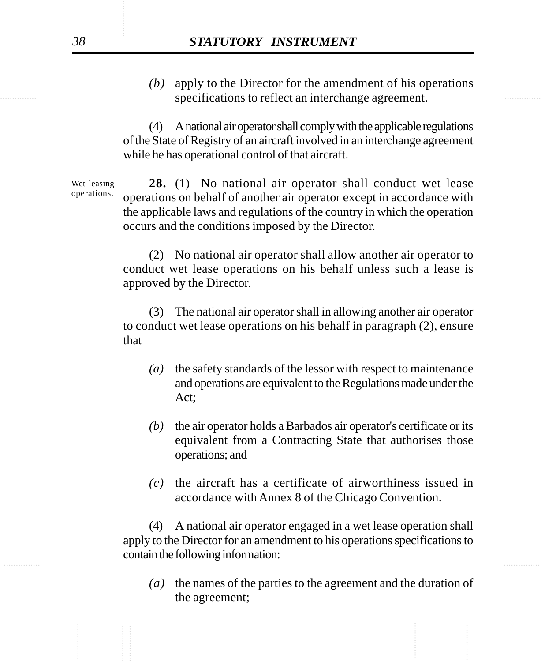specifications to reflect an interchange agreement. *(b)* apply to the Director for the amendment of his operations

> (4) A national air operator shall comply with the applicable regulations of the State of Registry of an aircraft involved in an interchange agreement while he has operational control of that aircraft.

**28.** (1) No national air operator shall conduct wet lease operations on behalf of another air operator except in accordance with the applicable laws and regulations of the country in which the operation occurs and the conditions imposed by the Director. Wet leasing operations.

> (2) No national air operator shall allow another air operator to conduct wet lease operations on his behalf unless such a lease is approved by the Director.

> (3) The national air operator shall in allowing another air operator to conduct wet lease operations on his behalf in paragraph (2), ensure that

- *(a)* the safety standards of the lessor with respect to maintenance and operations are equivalent to the Regulations made under the Act;
- *(b)* the air operator holds a Barbados air operator's certificate or its equivalent from a Contracting State that authorises those operations; and
- *(c)* the aircraft has a certificate of airworthiness issued in accordance with Annex 8 of the Chicago Convention.

............... ............... (4) A national air operator engaged in a wet lease operation shall apply to the Director for an amendment to his operations specifications to contain the following information:

> *(a)* the names of the parties to the agreement and the duration of the agreement;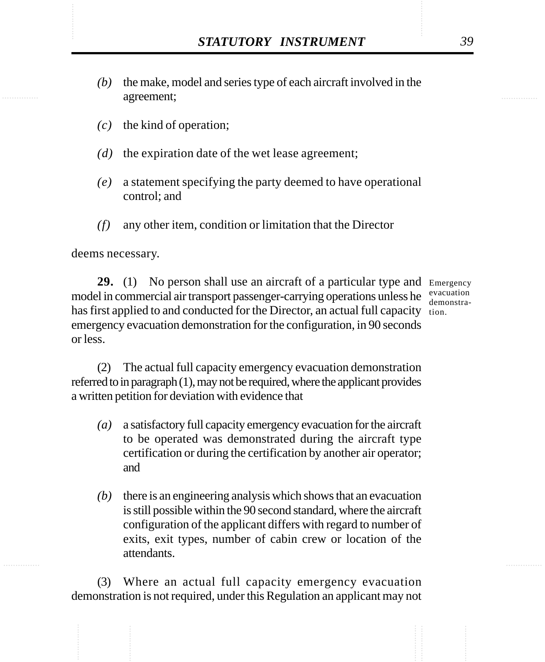- STATUTORY INSTRUMENT 39<br>(b) the make, model and series type of each aircraft involved in the agreement; *(b)* the make, model and series type of each aircraft involved in the agreement;
	- *(c)* the kind of operation;
	- *(d)* the expiration date of the wet lease agreement;
	- *(e)* a statement specifying the party deemed to have operational control; and
	- *(f)* any other item, condition or limitation that the Director

deems necessary.

29. (1) No person shall use an aircraft of a particular type and Emergency model in commercial air transport passenger-carrying operations unless he evacuation has first applied to and conducted for the Director, an actual full capacity tion. emergency evacuation demonstration for the configuration, in 90 seconds or less.

demonstra-

(2) The actual full capacity emergency evacuation demonstration referred to in paragraph (1), may not be required, where the applicant provides a written petition for deviation with evidence that

- *(a)* a satisfactory full capacity emergency evacuation for the aircraft to be operated was demonstrated during the aircraft type certification or during the certification by another air operator; and
- *(b)* there is an engineering analysis which shows that an evacuation is still possible within the 90 second standard, where the aircraft configuration of the applicant differs with regard to number of exits, exit types, number of cabin crew or location of the attendants.

(3) Where an actual full capacity emergency evacuation demonstration is not required, under this Regulation an applicant may not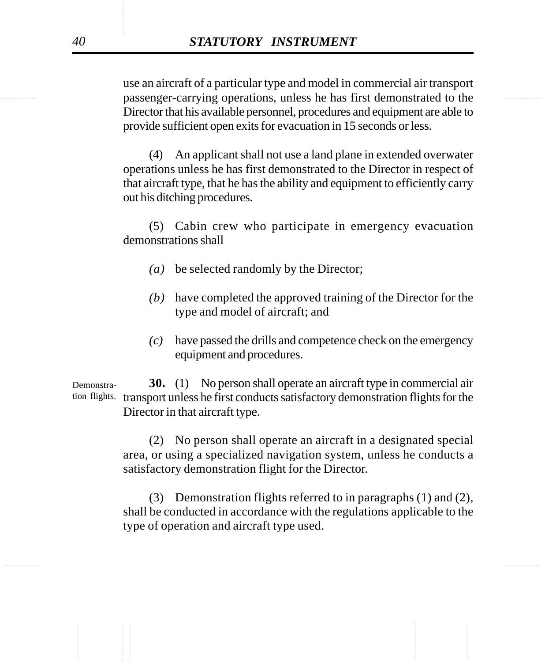**Example 3** passenger-carrying operations, unless he has first demonstrated to the use an aircraft of a particular type and model in commercial air transport Director that his available personnel, procedures and equipment are able to provide sufficient open exits for evacuation in 15 seconds or less.

> (4) An applicant shall not use a land plane in extended overwater operations unless he has first demonstrated to the Director in respect of that aircraft type, that he has the ability and equipment to efficiently carry out his ditching procedures.

> (5) Cabin crew who participate in emergency evacuation demonstrations shall

- *(a)* be selected randomly by the Director;
- *(b)* have completed the approved training of the Director for the type and model of aircraft; and
- *(c)* have passed the drills and competence check on the emergency equipment and procedures.

**30.** (1) No person shall operate an aircraft type in commercial air tion flights. transport unless he first conducts satisfactory demonstration flights for the Director in that aircraft type. Demonstra-

> (2) No person shall operate an aircraft in a designated special area, or using a specialized navigation system, unless he conducts a satisfactory demonstration flight for the Director.

> (3) Demonstration flights referred to in paragraphs (1) and (2), shall be conducted in accordance with the regulations applicable to the type of operation and aircraft type used.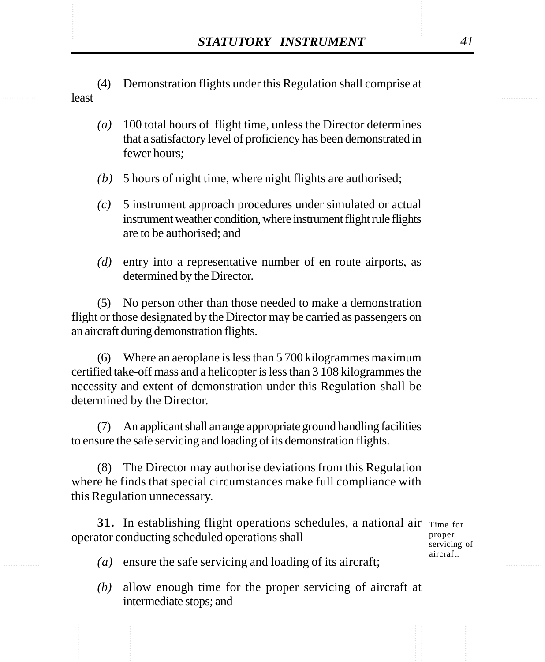- STATUTORY INSTRUMENT 41<br>(4) Demonstration flights under this Regulation shall comprise at least (4) Demonstration flights under this Regulation shall comprise at least
	- *(a)* 100 total hours of flight time, unless the Director determines that a satisfactory level of proficiency has been demonstrated in fewer hours;
	- *(b)* 5 hours of night time, where night flights are authorised;
	- *(c)* 5 instrument approach procedures under simulated or actual instrument weather condition, where instrument flight rule flights are to be authorised; and
	- *(d)* entry into a representative number of en route airports, as determined by the Director.

(5) No person other than those needed to make a demonstration flight or those designated by the Director may be carried as passengers on an aircraft during demonstration flights.

(6) Where an aeroplane is less than 5 700 kilogrammes maximum certified take-off mass and a helicopter is less than 3 108 kilogrammes the necessity and extent of demonstration under this Regulation shall be determined by the Director.

An applicant shall arrange appropriate ground handling facilities to ensure the safe servicing and loading of its demonstration flights.

(8) The Director may authorise deviations from this Regulation where he finds that special circumstances make full compliance with this Regulation unnecessary.

**31.** In establishing flight operations schedules, a national air Time for operator conducting scheduled operations shall

proper servicing of aircraft.

- *(a)* ensure the safe servicing and loading of its aircraft;
- *(b)* allow enough time for the proper servicing of aircraft at intermediate stops; and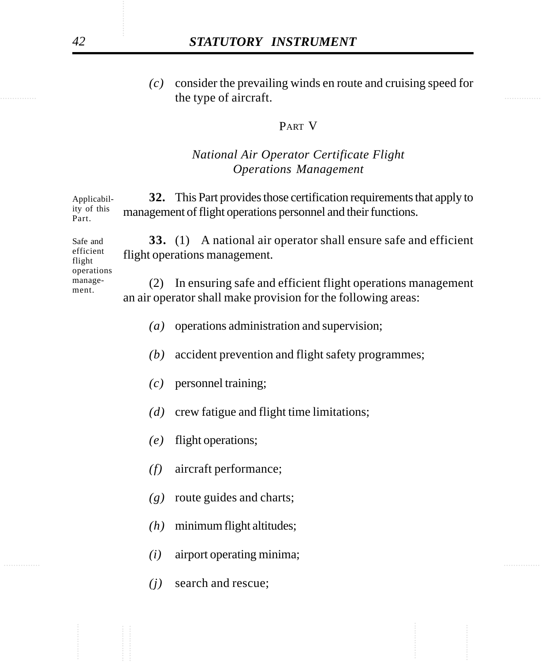the type of aircraft. *(c)* consider the prevailing winds en route and cruising speed for

## PART V

## *National Air Operator Certificate Flight Operations Management*

**32.** This Part provides those certification requirements that apply to management of flight operations personnel and their functions. Applicability of this Part.

**33.** (1) A national air operator shall ensure safe and efficient flight operations management. Safe and efficient flight

operations management.

(2) In ensuring safe and efficient flight operations management an air operator shall make provision for the following areas:

- *(a)* operations administration and supervision;
- *(b)* accident prevention and flight safety programmes;
- *(c)* personnel training;
- *(d)* crew fatigue and flight time limitations;
- *(e)* flight operations;
- *(f)* aircraft performance;
- *(g)* route guides and charts;
- *(h)* minimum flight altitudes;
- ............... ............... *(i)* airport operating minima;
	- *(j)* search and rescue;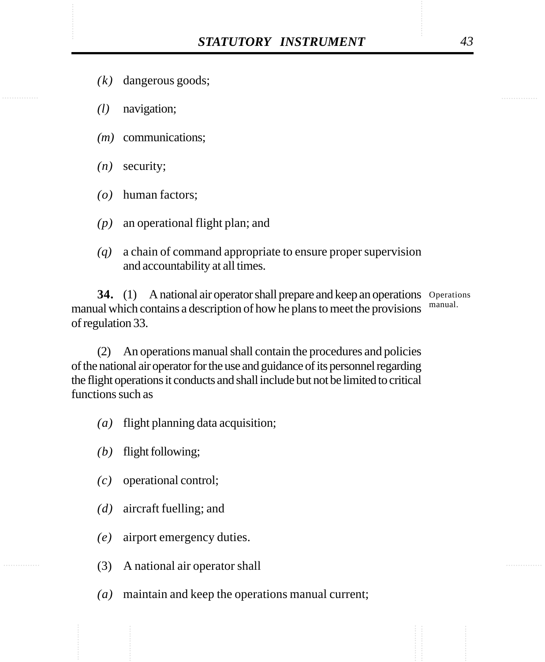- *(k)* dangerous goods;
- *(l)* navigation;
- *(m)* communications;
- *(n)* security;
- *(o)* human factors;
- *(p)* an operational flight plan; and
- *(q)* a chain of command appropriate to ensure proper supervision and accountability at all times.

**34.** (1) A national air operator shall prepare and keep an operations Operations manual which contains a description of how he plans to meet the provisions of regulation 33. manual.

(2) An operations manual shall contain the procedures and policies of the national air operator for the use and guidance of its personnel regarding the flight operations it conducts and shall include but not be limited to critical functions such as

- *(a)* flight planning data acquisition;
- *(b)* flight following;
- *(c)* operational control;
- *(d)* aircraft fuelling; and
- *(e)* airport emergency duties.
- (3) A national air operator shall
- *(a)* maintain and keep the operations manual current;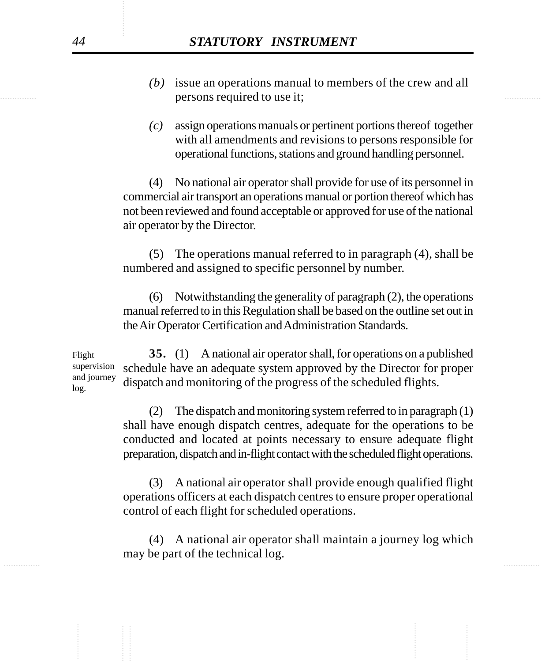- persons required to use it; *(b)* issue an operations manual to members of the crew and all
	- *(c)* assign operations manuals or pertinent portions thereof together with all amendments and revisions to persons responsible for operational functions, stations and ground handling personnel.

(4) No national air operator shall provide for use of its personnel in commercial air transport an operations manual or portion thereof which has not been reviewed and found acceptable or approved for use of the national air operator by the Director.

(5) The operations manual referred to in paragraph (4), shall be numbered and assigned to specific personnel by number.

(6) Notwithstanding the generality of paragraph (2), the operations manual referred to in this Regulation shall be based on the outline set out in the Air Operator Certification and Administration Standards.

**35.** (1) A national air operator shall, for operations on a published schedule have an adequate system approved by the Director for proper dispatch and monitoring of the progress of the scheduled flights. Flight supervision and journey log.

> (2) The dispatch and monitoring system referred to in paragraph (1) shall have enough dispatch centres, adequate for the operations to be conducted and located at points necessary to ensure adequate flight preparation, dispatch and in-flight contact with the scheduled flight operations.

> (3) A national air operator shall provide enough qualified flight operations officers at each dispatch centres to ensure proper operational control of each flight for scheduled operations.

............... ............... (4) A national air operator shall maintain a journey log which may be part of the technical log.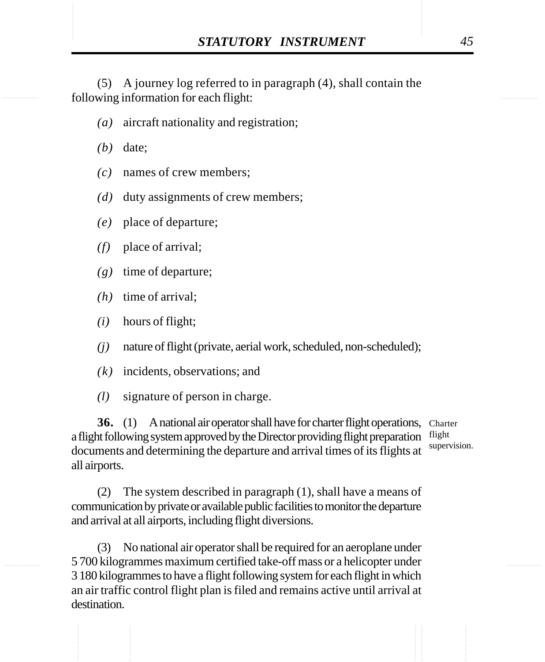**STATUTORY INSTRUMENT** 45<br>(5) A journey log referred to in paragraph (4), shall contain the following information for each flight: (5) A journey log referred to in paragraph (4), shall contain the following information for each flight:

- *(a)* aircraft nationality and registration;
- *(b)* date;
- *(c)* names of crew members;
- *(d)* duty assignments of crew members;
- *(e)* place of departure;
- *(f)* place of arrival;
- *(g)* time of departure;
- *(h)* time of arrival;
- *(i)* hours of flight;
- *(j)* nature of flight (private, aerial work, scheduled, non-scheduled);
- *(k)* incidents, observations; and
- *(l)* signature of person in charge.

**36.** (1) A national air operator shall have for charter flight operations, Charter a flight following system approved by the Director providing flight preparation flight documents and determining the departure and arrival times of its flights at all airports.

supervision.

(2) The system described in paragraph (1), shall have a means of communication by private or available public facilities to monitor the departure and arrival at all airports, including flight diversions.

(3) No national air operator shall be required for an aeroplane under 5 700 kilogrammes maximum certified take-off mass or a helicopter under 3 180 kilogrammes to have a flight following system for each flight in which an air traffic control flight plan is filed and remains active until arrival at destination.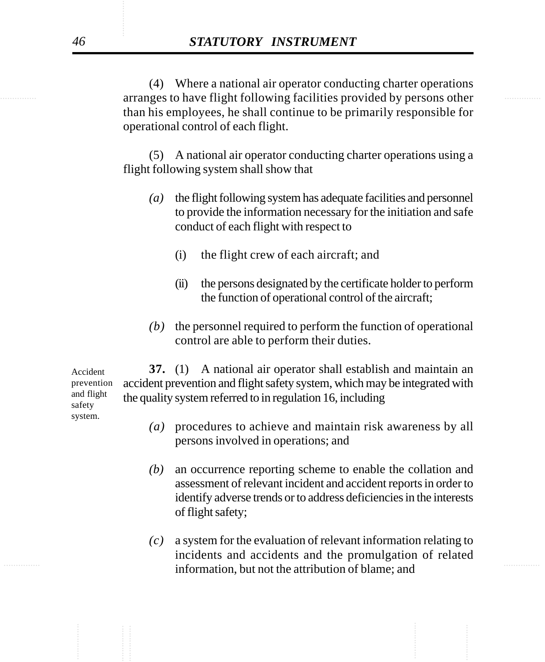extending the arranges to have flight following facilities provided by persons other (4) Where a national air operator conducting charter operations than his employees, he shall continue to be primarily responsible for operational control of each flight.

> (5) A national air operator conducting charter operations using a flight following system shall show that

- *(a)* the flight following system has adequate facilities and personnel to provide the information necessary for the initiation and safe conduct of each flight with respect to
	- (i) the flight crew of each aircraft; and
	- (ii) the persons designated by the certificate holder to perform the function of operational control of the aircraft;
- *(b)* the personnel required to perform the function of operational control are able to perform their duties.

**37.** (1) A national air operator shall establish and maintain an accident prevention and flight safety system, which may be integrated with the quality system referred to in regulation 16, including

- *(a)* procedures to achieve and maintain risk awareness by all persons involved in operations; and
- *(b)* an occurrence reporting scheme to enable the collation and assessment of relevant incident and accident reports in order to identify adverse trends or to address deficiencies in the interests of flight safety;
- ............... ............... information, but not the attribution of blame; and *(c)* a system for the evaluation of relevant information relating to incidents and accidents and the promulgation of related

Accident prevention and flight safety system.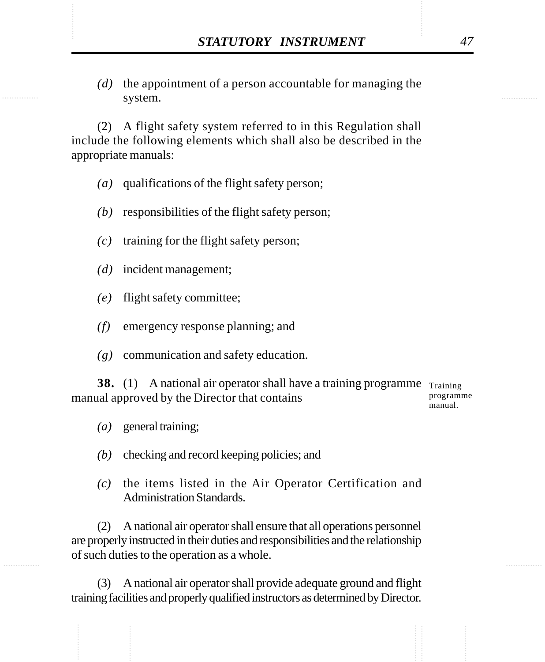STATUTORY INSTRUMENT 47<br>
(d) the appointment of a person accountable for managing the system. *(d)* the appointment of a person accountable for managing the system.

> (2) A flight safety system referred to in this Regulation shall include the following elements which shall also be described in the appropriate manuals:

- *(a)* qualifications of the flight safety person;
- *(b)* responsibilities of the flight safety person;
- *(c)* training for the flight safety person;
- *(d)* incident management;
- *(e)* flight safety committee;
- *(f)* emergency response planning; and
- *(g)* communication and safety education.

**38.** (1) A national air operator shall have a training programme Training manual approved by the Director that contains

programme manual.

- *(a)* general training;
- *(b)* checking and record keeping policies; and
- *(c)* the items listed in the Air Operator Certification and Administration Standards.

(2) A national air operator shall ensure that all operations personnel are properly instructed in their duties and responsibilities and the relationship of such duties to the operation as a whole.

(3) A national air operator shall provide adequate ground and flight training facilities and properly qualified instructors as determined by Director.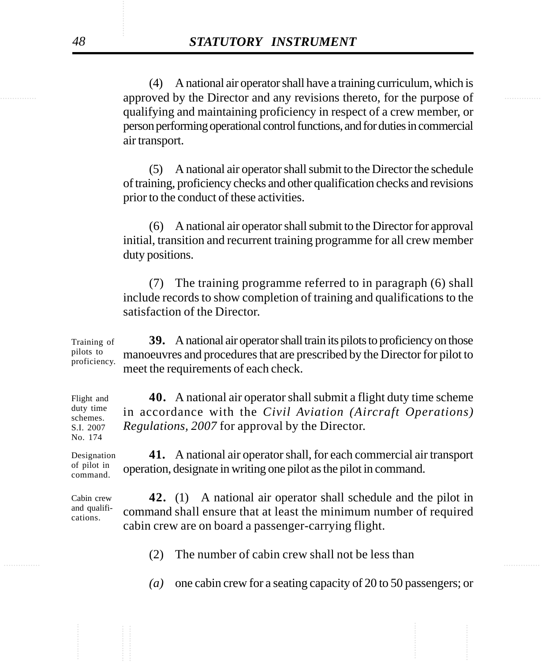approved by the Director and any revisions thereto, for the purpose of (4) A national air operator shall have a training curriculum, which is qualifying and maintaining proficiency in respect of a crew member, or person performing operational control functions, and for duties in commercial air transport.

> (5) A national air operator shall submit to the Director the schedule of training, proficiency checks and other qualification checks and revisions prior to the conduct of these activities.

> (6) A national air operator shall submit to the Director for approval initial, transition and recurrent training programme for all crew member duty positions.

> (7) The training programme referred to in paragraph (6) shall include records to show completion of training and qualifications to the satisfaction of the Director.

**39.** A national air operator shall train its pilots to proficiency on those manoeuvres and procedures that are prescribed by the Director for pilot to meet the requirements of each check. Training of pilots to proficiency.

**40.** A national air operator shall submit a flight duty time scheme in accordance with the *Civil Aviation (Aircraft Operations) Regulations, 2007* for approval by the Director.

**41.** A national air operator shall, for each commercial air transport operation, designate in writing one pilot as the pilot in command.

**42.** (1) A national air operator shall schedule and the pilot in command shall ensure that at least the minimum number of required cabin crew are on board a passenger-carrying flight.

............... ............... (2) The number of cabin crew shall not be less than

*(a)* one cabin crew for a seating capacity of 20 to 50 passengers; or

Flight and duty time schemes. S.I. 2007 No. 174

Designation of pilot in command.

Cabin crew and qualifications.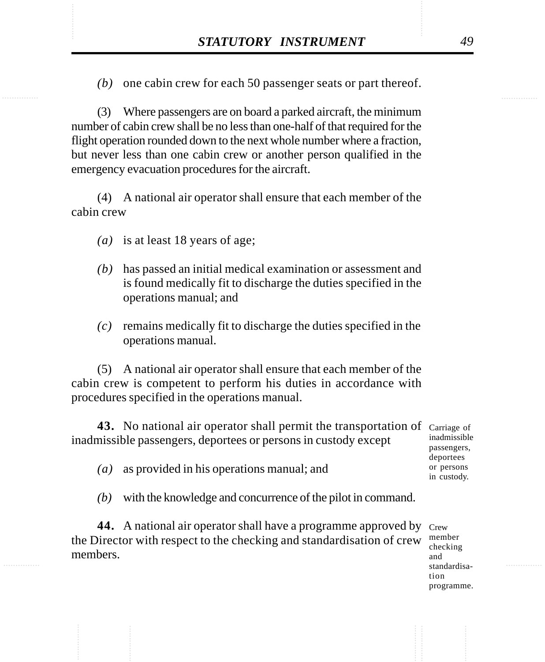STATUTORY INSTRUMENT 49<br>(b) one cabin crew for each 50 passenger seats or part thereof. *(b)* one cabin crew for each 50 passenger seats or part thereof.

> (3) Where passengers are on board a parked aircraft, the minimum number of cabin crew shall be no less than one-half of that required for the flight operation rounded down to the next whole number where a fraction, but never less than one cabin crew or another person qualified in the emergency evacuation procedures for the aircraft.

> (4) A national air operator shall ensure that each member of the cabin crew

- *(a)* is at least 18 years of age;
- *(b)* has passed an initial medical examination or assessment and is found medically fit to discharge the duties specified in the operations manual; and
- *(c)* remains medically fit to discharge the duties specified in the operations manual.

(5) A national air operator shall ensure that each member of the cabin crew is competent to perform his duties in accordance with procedures specified in the operations manual.

| 43. No national air operator shall permit the transportation of carriage of<br>inadmissible passengers, deportees or persons in custody except | inadmissible<br>passengers,            |
|------------------------------------------------------------------------------------------------------------------------------------------------|----------------------------------------|
| as provided in his operations manual; and<br>$\left( a\right)$                                                                                 | deportees<br>or persons<br>in custody. |
| with the knowledge and concurrence of the pilot in command.<br>(b)                                                                             |                                        |
| .                                                                                                                                              |                                        |

44. A national air operator shall have a programme approved by Crew the Director with respect to the checking and standardisation of crew  $\frac{\text{member in}}{\text{ch}_2}$ members.

checking and standardisation programme.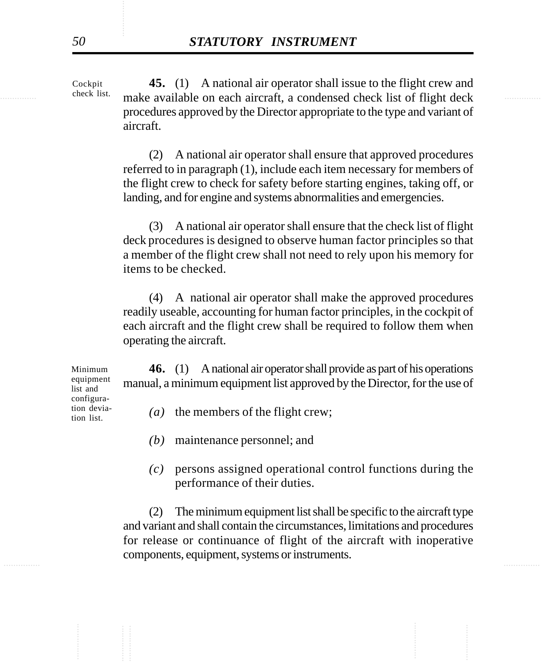<sup>check</sup> list. make available on each aircraft, a condensed check list of flight deck **45.** (1) A national air operator shall issue to the flight crew and procedures approved by the Director appropriate to the type and variant of aircraft. Cockpit check list.

> (2) A national air operator shall ensure that approved procedures referred to in paragraph (1), include each item necessary for members of the flight crew to check for safety before starting engines, taking off, or landing, and for engine and systems abnormalities and emergencies.

> (3) A national air operator shall ensure that the check list of flight deck procedures is designed to observe human factor principles so that a member of the flight crew shall not need to rely upon his memory for items to be checked.

> (4) A national air operator shall make the approved procedures readily useable, accounting for human factor principles, in the cockpit of each aircraft and the flight crew shall be required to follow them when operating the aircraft.

**46.** (1) A national air operator shall provide as part of his operations manual, a minimum equipment list approved by the Director, for the use of

*(a)* the members of the flight crew;

- *(b)* maintenance personnel; and
- *(c)* persons assigned operational control functions during the performance of their duties.

............... ............... (2) The minimum equipment list shall be specific to the aircraft type and variant and shall contain the circumstances, limitations and procedures for release or continuance of flight of the aircraft with inoperative components, equipment, systems or instruments.

Minimum equipment list and configuration deviation list.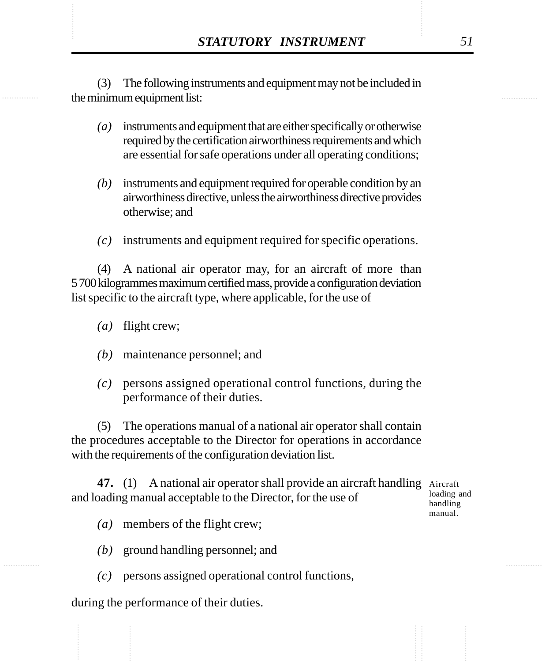STATUTORY INSTRUMENT 51<br>
(3) The following instruments and equipment may not be included in<br>
the minimum equipment list: (3) The following instruments and equipment may not be included in the minimum equipment list:

- *(a)* instruments and equipment that are either specifically or otherwise required by the certification airworthiness requirements and which are essential for safe operations under all operating conditions;
- *(b)* instruments and equipment required for operable condition by an airworthiness directive, unless the airworthiness directive provides otherwise; and
- *(c)* instruments and equipment required for specific operations.

(4) A national air operator may, for an aircraft of more than 5 700 kilogrammes maximum certified mass, provide a configuration deviation list specific to the aircraft type, where applicable, for the use of

- *(a)* flight crew;
- *(b)* maintenance personnel; and
- *(c)* persons assigned operational control functions, during the performance of their duties.

(5) The operations manual of a national air operator shall contain the procedures acceptable to the Director for operations in accordance with the requirements of the configuration deviation list.

47. (1) A national air operator shall provide an aircraft handling Aircraft and loading manual acceptable to the Director, for the use of

loading and handling manual.

- *(a)* members of the flight crew;
- *(b)* ground handling personnel; and
- *(c)* persons assigned operational control functions,

during the performance of their duties.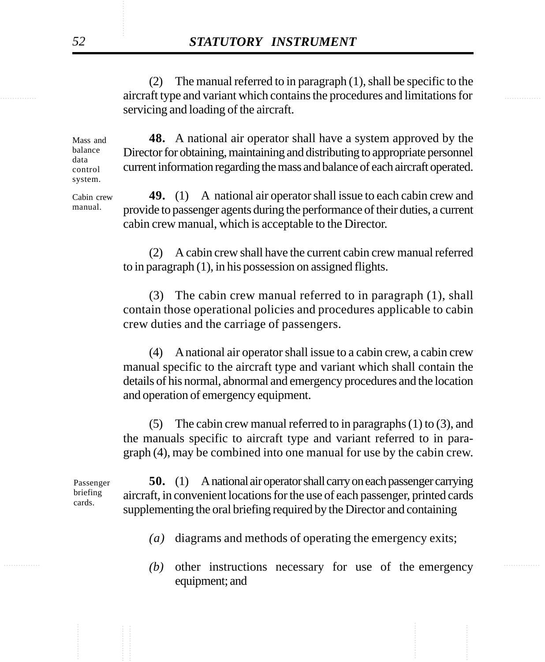............... ............... aircraft type and variant which contains the procedures and limitations for (2) The manual referred to in paragraph (1), shall be specific to the servicing and loading of the aircraft.

> **48.** A national air operator shall have a system approved by the Director for obtaining, maintaining and distributing to appropriate personnel current information regarding the mass and balance of each aircraft operated. Mass and balance control system.

> **49.** (1) A national air operator shall issue to each cabin crew and provide to passenger agents during the performance of their duties, a current cabin crew manual, which is acceptable to the Director. Cabin crew

> > (2) A cabin crew shall have the current cabin crew manual referred to in paragraph (1), in his possession on assigned flights.

> > (3) The cabin crew manual referred to in paragraph (1), shall contain those operational policies and procedures applicable to cabin crew duties and the carriage of passengers.

> > (4) A national air operator shall issue to a cabin crew, a cabin crew manual specific to the aircraft type and variant which shall contain the details of his normal, abnormal and emergency procedures and the location and operation of emergency equipment.

> > (5) The cabin crew manual referred to in paragraphs  $(1)$  to  $(3)$ , and the manuals specific to aircraft type and variant referred to in paragraph (4), may be combined into one manual for use by the cabin crew.

Passenger briefing cards.

**50.** (1) A national air operator shall carry on each passenger carrying aircraft, in convenient locations for the use of each passenger, printed cards supplementing the oral briefing required by the Director and containing

- *(a)* diagrams and methods of operating the emergency exits;
- *(b)* other instructions necessary for use of the emergency equipment; and

data

manual.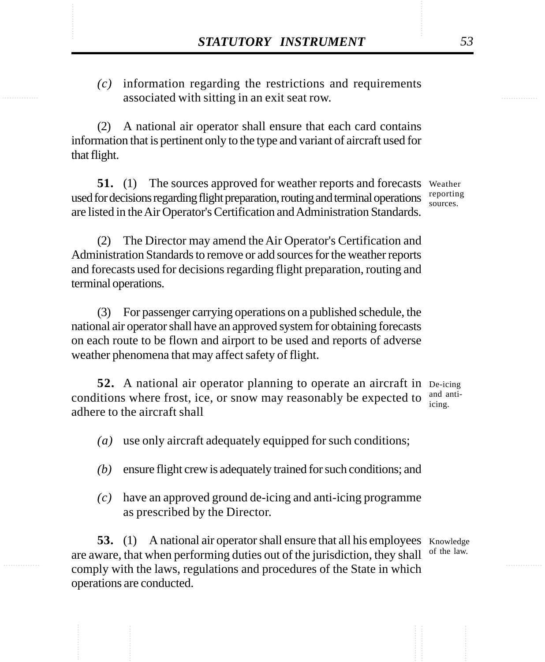**STATUTORY INSTRUMENT** 53<br>(c) information regarding the restrictions and requirements<br>associated with sitting in an exit seat row. *(c)* information regarding the restrictions and requirements associated with sitting in an exit seat row.

> (2) A national air operator shall ensure that each card contains information that is pertinent only to the type and variant of aircraft used for that flight.

51. (1) The sources approved for weather reports and forecasts Weather used for decisions regarding flight preparation, routing and terminal operations  $\frac{\text{reporting}}{\text{sources}}$ are listed in the Air Operator's Certification and Administration Standards.

sources.

(2) The Director may amend the Air Operator's Certification and Administration Standards to remove or add sources for the weather reports and forecasts used for decisions regarding flight preparation, routing and terminal operations.

(3) For passenger carrying operations on a published schedule, the national air operator shall have an approved system for obtaining forecasts on each route to be flown and airport to be used and reports of adverse weather phenomena that may affect safety of flight.

**52.** A national air operator planning to operate an aircraft in De-icing conditions where frost, ice, or snow may reasonably be expected to adhere to the aircraft shall icing.

and anti-

*(a)* use only aircraft adequately equipped for such conditions;

- *(b)* ensure flight crew is adequately trained for such conditions; and
- *(c)* have an approved ground de-icing and anti-icing programme as prescribed by the Director.

**53.** (1) A national air operator shall ensure that all his employees Knowledge are aware, that when performing duties out of the jurisdiction, they shall comply with the laws, regulations and procedures of the State in which operations are conducted. of the law.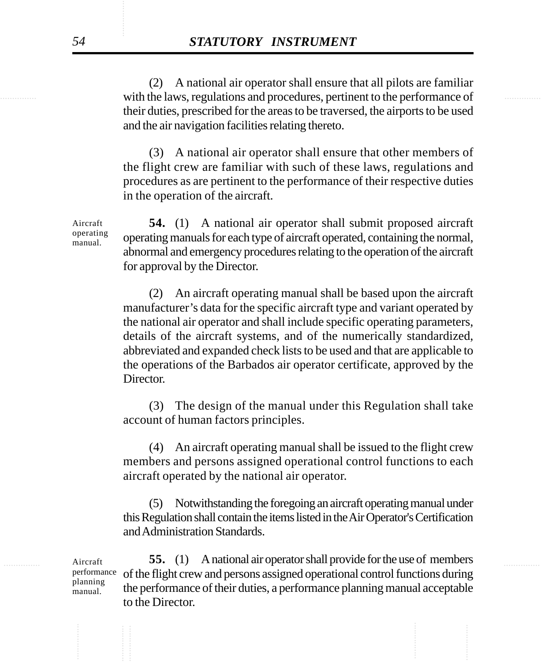with the laws, regulations and procedures, pertinent to the performance of (2) A national air operator shall ensure that all pilots are familiar their duties, prescribed for the areas to be traversed, the airports to be used and the air navigation facilities relating thereto.

> (3) A national air operator shall ensure that other members of the flight crew are familiar with such of these laws, regulations and procedures as are pertinent to the performance of their respective duties in the operation of the aircraft.

**54.** (1) A national air operator shall submit proposed aircraft operating manuals for each type of aircraft operated, containing the normal, abnormal and emergency procedures relating to the operation of the aircraft for approval by the Director.

(2) An aircraft operating manual shall be based upon the aircraft manufacturer's data for the specific aircraft type and variant operated by the national air operator and shall include specific operating parameters, details of the aircraft systems, and of the numerically standardized, abbreviated and expanded check lists to be used and that are applicable to the operations of the Barbados air operator certificate, approved by the Director.

(3) The design of the manual under this Regulation shall take account of human factors principles.

(4) An aircraft operating manual shall be issued to the flight crew members and persons assigned operational control functions to each aircraft operated by the national air operator.

(5) Notwithstanding the foregoing an aircraft operating manual under this Regulation shall contain the items listed in the Air Operator's Certification and Administration Standards.

Aircraft 55. (1) A national air operator shall provide for the use of members of the flight crew and persons assigned operational control functions during the performance of their duties, a performance planning manual acceptable to the Director. Aircraft performance planning manual.

Aircraft operating manual.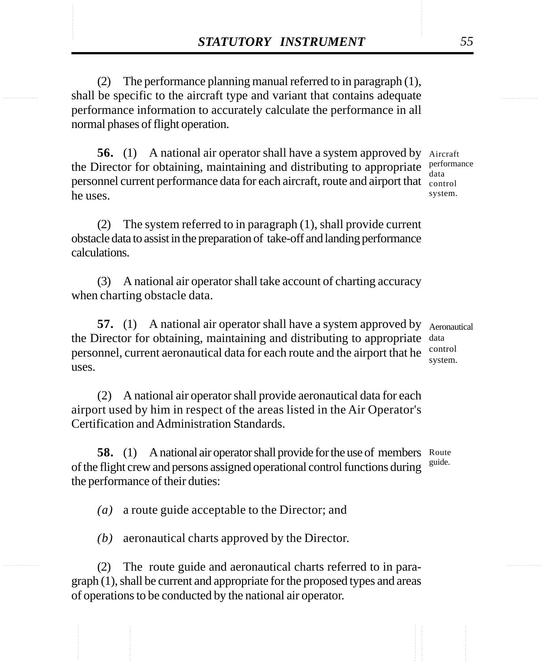**STATUTORY INSTRUMENT** 55<br>(2) The performance planning manual referred to in paragraph (1),<br>shall be specific to the aircraft type and variant that contains adequate (2) The performance planning manual referred to in paragraph (1), shall be specific to the aircraft type and variant that contains adequate performance information to accurately calculate the performance in all normal phases of flight operation.

> **56.** (1) A national air operator shall have a system approved by Aircraft the Director for obtaining, maintaining and distributing to appropriate  $\frac{\text{performance}}{\text{data}}$ personnel current performance data for each aircraft, route and airport that control he uses. data system.

(2) The system referred to in paragraph (1), shall provide current obstacle data to assist in the preparation of take-off and landing performance calculations.

(3) A national air operator shall take account of charting accuracy when charting obstacle data.

**57.** (1) A national air operator shall have a system approved by Aeronautical the Director for obtaining, maintaining and distributing to appropriate data personnel, current aeronautical data for each route and the airport that he control uses.

(2) A national air operator shall provide aeronautical data for each airport used by him in respect of the areas listed in the Air Operator's Certification and Administration Standards.

**58.** (1) A national air operator shall provide for the use of members Route of the flight crew and persons assigned operational control functions during the performance of their duties: guide.

*(a)* a route guide acceptable to the Director; and

*(b)* aeronautical charts approved by the Director.

(2) The route guide and aeronautical charts referred to in paragraph (1), shall be current and appropriate for the proposed types and areas of operations to be conducted by the national air operator.

system.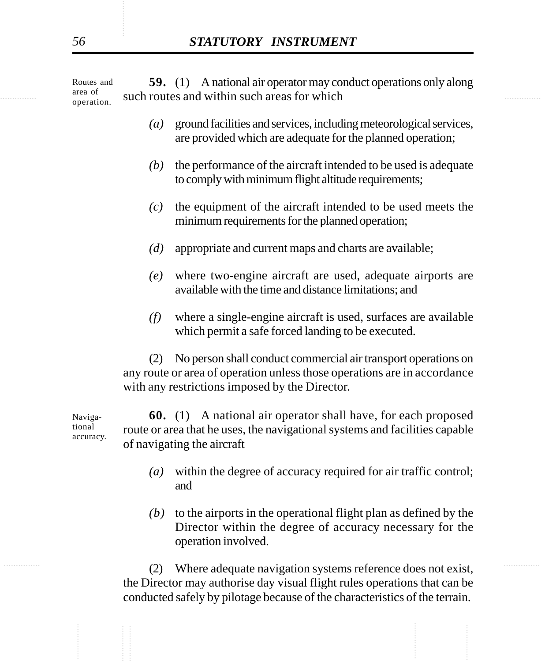example area of such routes and within such areas for which **59.** (1) A national air operator may conduct operations only along Routes and area of operation.

- *(a)* ground facilities and services, including meteorological services, are provided which are adequate for the planned operation;
- *(b)* the performance of the aircraft intended to be used is adequate to comply with minimum flight altitude requirements;
- *(c)* the equipment of the aircraft intended to be used meets the minimum requirements for the planned operation;
- *(d)* appropriate and current maps and charts are available;
- *(e)* where two-engine aircraft are used, adequate airports are available with the time and distance limitations; and
- *(f)* where a single-engine aircraft is used, surfaces are available which permit a safe forced landing to be executed.

(2) No person shall conduct commercial air transport operations on any route or area of operation unless those operations are in accordance with any restrictions imposed by the Director.

**60.** (1) A national air operator shall have, for each proposed route or area that he uses, the navigational systems and facilities capable of navigating the aircraft Navigational accuracy.

- *(a)* within the degree of accuracy required for air traffic control; and
- *(b)* to the airports in the operational flight plan as defined by the Director within the degree of accuracy necessary for the operation involved.

............... ............... (2) Where adequate navigation systems reference does not exist, the Director may authorise day visual flight rules operations that can be conducted safely by pilotage because of the characteristics of the terrain.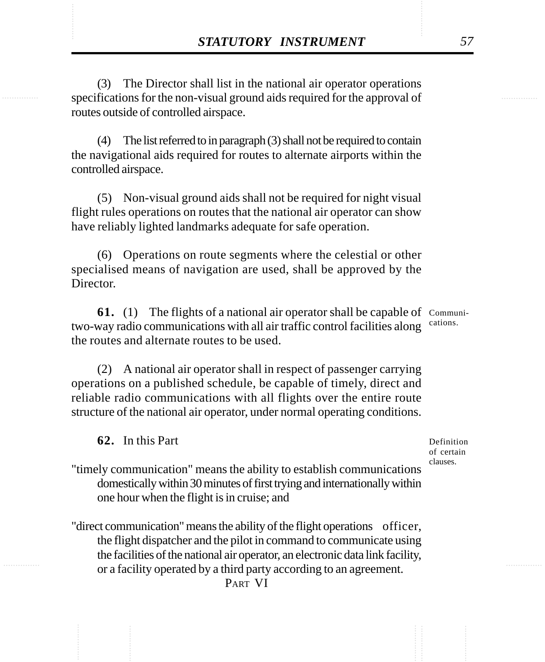**STATUTORY INSTRUMENT** 57<br>
(3) The Director shall list in the national air operator operations<br>
specifications for the non-visual ground aids required for the approval of (3) The Director shall list in the national air operator operations specifications for the non-visual ground aids required for the approval of routes outside of controlled airspace.

> (4) The list referred to in paragraph (3) shall not be required to contain the navigational aids required for routes to alternate airports within the controlled airspace.

> (5) Non-visual ground aids shall not be required for night visual flight rules operations on routes that the national air operator can show have reliably lighted landmarks adequate for safe operation.

> (6) Operations on route segments where the celestial or other specialised means of navigation are used, shall be approved by the Director.

**61.** (1) The flights of a national air operator shall be capable of Communitwo-way radio communications with all air traffic control facilities along cations. the routes and alternate routes to be used.

(2) A national air operator shall in respect of passenger carrying operations on a published schedule, be capable of timely, direct and reliable radio communications with all flights over the entire route structure of the national air operator, under normal operating conditions.

**62.** In this Part

Definition of certain clauses.

"timely communication" means the ability to establish communications domestically within 30 minutes of first trying and internationally within one hour when the flight is in cruise; and

"direct communication" means the ability of the flight operations officer, the flight dispatcher and the pilot in command to communicate using the facilities of the national air operator, an electronic data link facility, or a facility operated by a third party according to an agreement.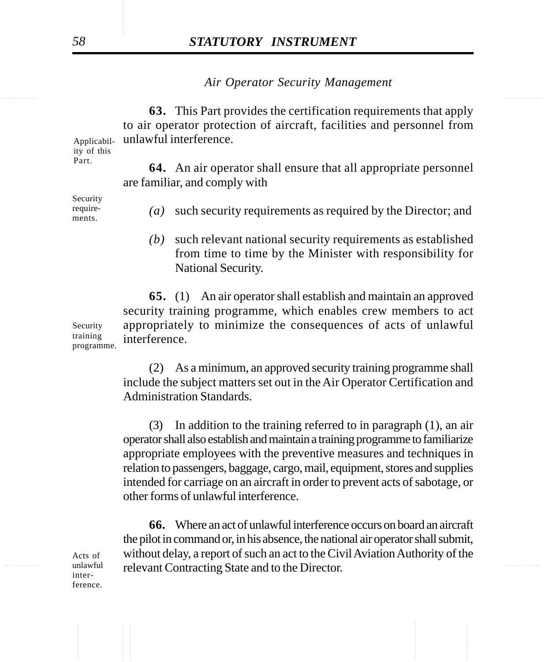*Air Operator Security Management*

**63.** This Part provides the certification requirements that apply to air operator protection of aircraft, facilities and personnel from unlawful interference.

Applicability of this Part.

**64.** An air operator shall ensure that all appropriate personnel are familiar, and comply with

Security requirements.

- *(a)* such security requirements as required by the Director; and
- *(b)* such relevant national security requirements as established from time to time by the Minister with responsibility for National Security.

**65.** (1) An air operator shall establish and maintain an approved security training programme, which enables crew members to act appropriately to minimize the consequences of acts of unlawful interference. Security training programme.

> (2) As a minimum, an approved security training programme shall include the subject matters set out in the Air Operator Certification and Administration Standards.

> (3) In addition to the training referred to in paragraph (1), an air operator shall also establish and maintain a training programme to familiarize appropriate employees with the preventive measures and techniques in relation to passengers, baggage, cargo, mail, equipment, stores and supplies intended for carriage on an aircraft in order to prevent acts of sabotage, or other forms of unlawful interference.

unlawful relevant Contracting State and to the Director. **66.** Where an act of unlawful interference occurs on board an aircraft the pilot in command or, in his absence, the national air operator shall submit, without delay, a report of such an act to the Civil Aviation Authority of the

Acts of unlawful interference.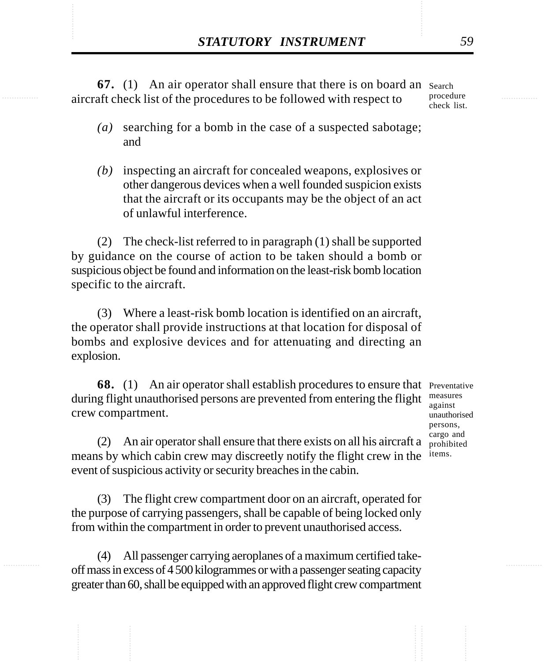**STATUTORY INSTRUMENT** 59<br>
67. (1) An air operator shall ensure that there is on board an search<br>
aircraft check list of the procedures to be followed with respect to **67.** (1) An air operator shall ensure that there is on board an search aircraft check list of the procedures to be followed with respect to procedure check list.

- *(a)* searching for a bomb in the case of a suspected sabotage; and
- *(b)* inspecting an aircraft for concealed weapons, explosives or other dangerous devices when a well founded suspicion exists that the aircraft or its occupants may be the object of an act of unlawful interference.

(2) The check-list referred to in paragraph (1) shall be supported by guidance on the course of action to be taken should a bomb or suspicious object be found and information on the least-risk bomb location specific to the aircraft.

(3) Where a least-risk bomb location is identified on an aircraft, the operator shall provide instructions at that location for disposal of bombs and explosive devices and for attenuating and directing an explosion.

**68.** (1) An air operator shall establish procedures to ensure that Preventative during flight unauthorised persons are prevented from entering the flight crew compartment.

measures against unauthorised persons, cargo and prohibited items.

(2) An air operator shall ensure that there exists on all his aircraft a means by which cabin crew may discreetly notify the flight crew in the event of suspicious activity or security breaches in the cabin.

(3) The flight crew compartment door on an aircraft, operated for the purpose of carrying passengers, shall be capable of being locked only from within the compartment in order to prevent unauthorised access.

(4) All passenger carrying aeroplanes of a maximum certified takeoff mass in excess of 4 500 kilogrammes or with a passenger seating capacity greater than 60, shall be equipped with an approved flight crew compartment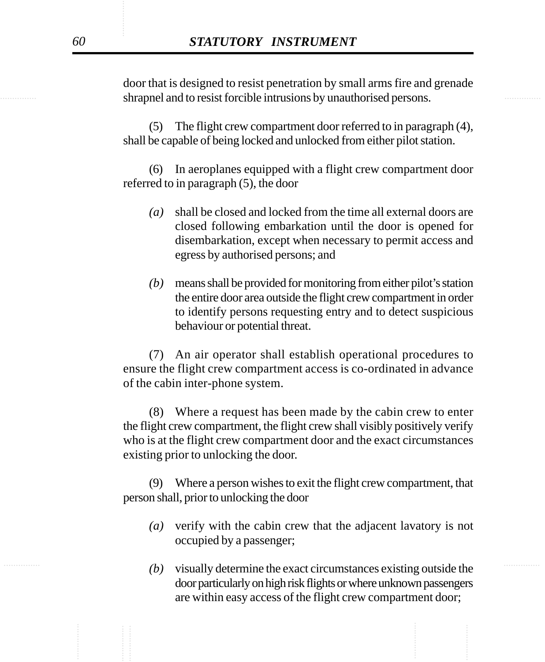shrapnel and to resist forcible intrusions by unauthorised persons. door that is designed to resist penetration by small arms fire and grenade

> (5) The flight crew compartment door referred to in paragraph (4), shall be capable of being locked and unlocked from either pilot station.

> (6) In aeroplanes equipped with a flight crew compartment door referred to in paragraph (5), the door

- *(a)* shall be closed and locked from the time all external doors are closed following embarkation until the door is opened for disembarkation, except when necessary to permit access and egress by authorised persons; and
- *(b)* means shall be provided for monitoring from either pilot's station the entire door area outside the flight crew compartment in order to identify persons requesting entry and to detect suspicious behaviour or potential threat.

(7) An air operator shall establish operational procedures to ensure the flight crew compartment access is co-ordinated in advance of the cabin inter-phone system.

(8) Where a request has been made by the cabin crew to enter the flight crew compartment, the flight crew shall visibly positively verify who is at the flight crew compartment door and the exact circumstances existing prior to unlocking the door.

(9) Where a person wishes to exit the flight crew compartment, that person shall, prior to unlocking the door

- *(a)* verify with the cabin crew that the adjacent lavatory is not occupied by a passenger;
- ............... ............... *(b)* visually determine the exact circumstances existing outside the door particularly on high risk flights or where unknown passengers are within easy access of the flight crew compartment door;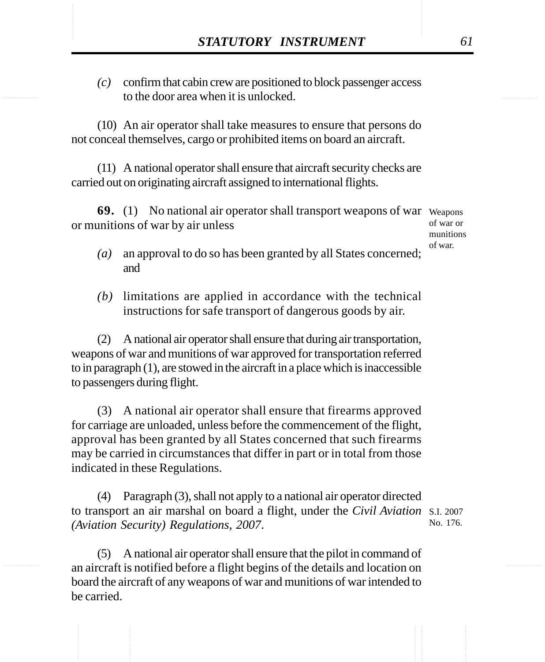STATUTORY INSTRUMENT 61<br>
(c) confirm that cabin crew are positioned to block passenger access<br>
to the door area when it is unlocked. *(c)* confirm that cabin crew are positioned to block passenger access to the door area when it is unlocked.

> (10) An air operator shall take measures to ensure that persons do not conceal themselves, cargo or prohibited items on board an aircraft.

> (11) A national operator shall ensure that aircraft security checks are carried out on originating aircraft assigned to international flights.

**69.** (1) No national air operator shall transport weapons of war Weapons or munitions of war by air unless

of war or munitions of war.

- *(a)* an approval to do so has been granted by all States concerned; and
- *(b)* limitations are applied in accordance with the technical instructions for safe transport of dangerous goods by air.

(2) A national air operator shall ensure that during air transportation, weapons of war and munitions of war approved for transportation referred to in paragraph (1), are stowed in the aircraft in a place which is inaccessible to passengers during flight.

(3) A national air operator shall ensure that firearms approved for carriage are unloaded, unless before the commencement of the flight, approval has been granted by all States concerned that such firearms may be carried in circumstances that differ in part or in total from those indicated in these Regulations.

(4) Paragraph (3), shall not apply to a national air operator directed to transport an air marshal on board a flight, under the *Civil Aviation* S.I. 2007 *(Aviation Security) Regulations, 2007*. No. 176.

(5) A national air operator shall ensure that the pilot in command of an aircraft is notified before a flight begins of the details and location on board the aircraft of any weapons of war and munitions of war intended to be carried.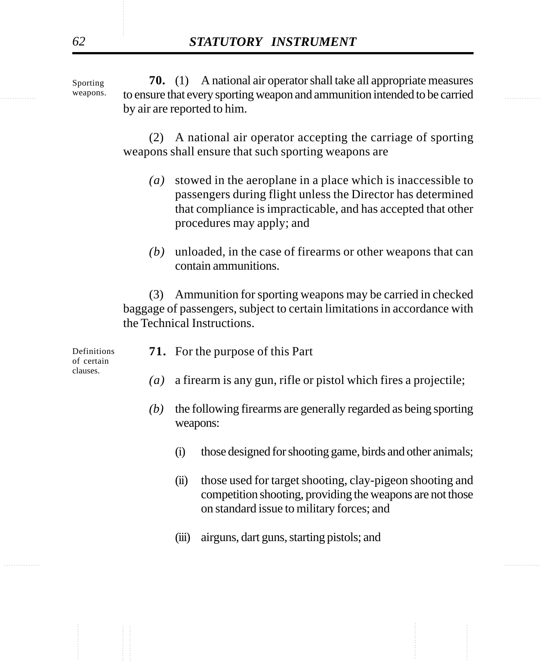weapons. to ensure that every sporting weapon and ammunition intended to be carried **70.** (1) A national air operator shall take all appropriate measures by air are reported to him. Sporting weapons.

> (2) A national air operator accepting the carriage of sporting weapons shall ensure that such sporting weapons are

- *(a)* stowed in the aeroplane in a place which is inaccessible to passengers during flight unless the Director has determined that compliance is impracticable, and has accepted that other procedures may apply; and
- *(b)* unloaded, in the case of firearms or other weapons that can contain ammunitions.

(3) Ammunition for sporting weapons may be carried in checked baggage of passengers, subject to certain limitations in accordance with the Technical Instructions.

| Definitions<br>of certain<br>clauses. | <b>71.</b> For the purpose of this Part                             |
|---------------------------------------|---------------------------------------------------------------------|
|                                       | (a) a firearm is any gun, rifle or pistol which fires a projectile; |

- *(b)* the following firearms are generally regarded as being sporting weapons:
	- (i) those designed for shooting game, birds and other animals;
	- (ii) those used for target shooting, clay-pigeon shooting and competition shooting, providing the weapons are not those on standard issue to military forces; and
	- (iii) airguns, dart guns, starting pistols; and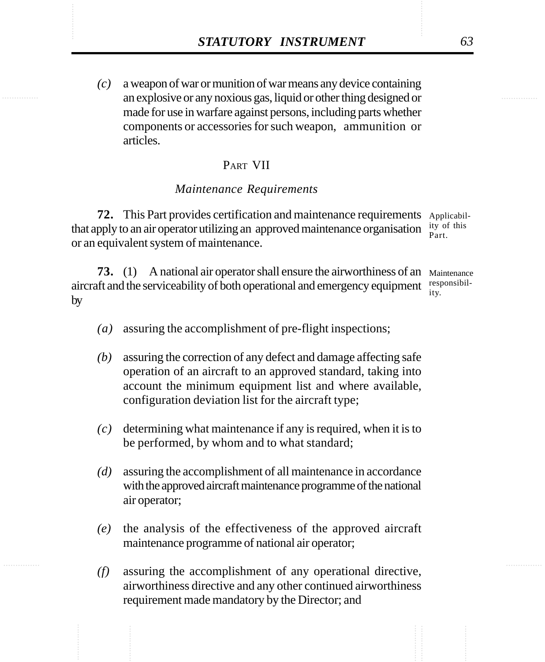*STATUTORY INSTRUMENT* 63<br>
(c) a weapon of war or munition of war means any device containing<br>
an explosive or any noxious gas. liquid or other thing designed or *(c)* a weapon of war or munition of war means any device containing an explosive or any noxious gas, liquid or other thing designed or made for use in warfare against persons, including parts whether components or accessories for such weapon, ammunition or articles.

## PART VII

## *Maintenance Requirements*

**72.** This Part provides certification and maintenance requirements Applicabilthat apply to an air operator utilizing an approved maintenance organisation  $\frac{1}{p}$  is or an equivalent system of maintenance. Part.

**73.** (1) A national air operator shall ensure the airworthiness of an Maintenance aircraft and the serviceability of both operational and emergency equipment  $\frac{\text{responsibil}}{\text{inc}}$ by ity.

- *(a)* assuring the accomplishment of pre-flight inspections;
- *(b)* assuring the correction of any defect and damage affecting safe operation of an aircraft to an approved standard, taking into account the minimum equipment list and where available, configuration deviation list for the aircraft type;
- *(c)* determining what maintenance if any is required, when it is to be performed, by whom and to what standard;
- *(d)* assuring the accomplishment of all maintenance in accordance with the approved aircraft maintenance programme of the national air operator;
- *(e)* the analysis of the effectiveness of the approved aircraft maintenance programme of national air operator;
- *(f)* assuring the accomplishment of any operational directive, airworthiness directive and any other continued airworthiness requirement made mandatory by the Director; and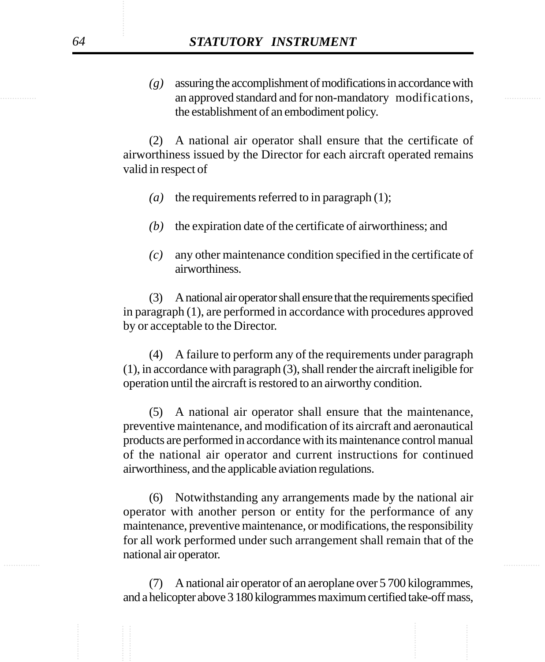examples an approved standard and for non-mandatory modifications, *(g)* assuring the accomplishment of modifications in accordance with the establishment of an embodiment policy.

> (2) A national air operator shall ensure that the certificate of airworthiness issued by the Director for each aircraft operated remains valid in respect of

- *(a)* the requirements referred to in paragraph (1);
- *(b)* the expiration date of the certificate of airworthiness; and
- *(c)* any other maintenance condition specified in the certificate of airworthiness.

(3) A national air operator shall ensure that the requirements specified in paragraph (1), are performed in accordance with procedures approved by or acceptable to the Director.

(4) A failure to perform any of the requirements under paragraph (1), in accordance with paragraph (3), shall render the aircraft ineligible for operation until the aircraft is restored to an airworthy condition.

(5) A national air operator shall ensure that the maintenance, preventive maintenance, and modification of its aircraft and aeronautical products are performed in accordance with its maintenance control manual of the national air operator and current instructions for continued airworthiness, and the applicable aviation regulations.

............... ............... (6) Notwithstanding any arrangements made by the national air operator with another person or entity for the performance of any maintenance, preventive maintenance, or modifications, the responsibility for all work performed under such arrangement shall remain that of the national air operator.

> (7) A national air operator of an aeroplane over 5 700 kilogrammes, and a helicopter above 3 180 kilogrammes maximum certified take-off mass,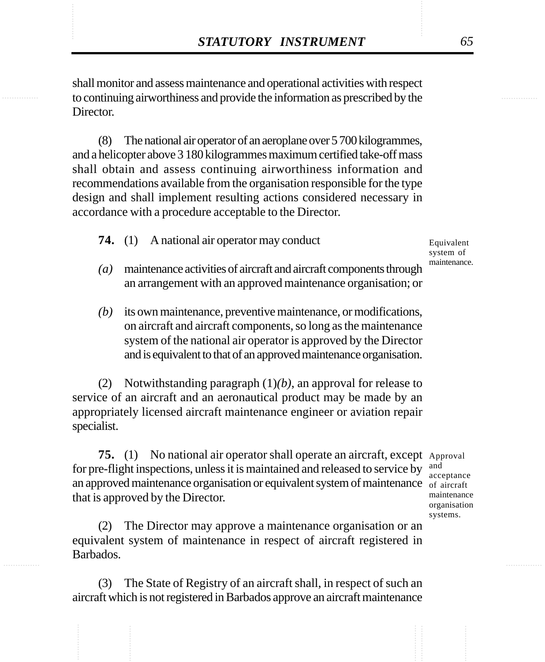**STATUTORY INSTRUMENT** 65<br>
shall monitor and assess maintenance and operational activities with respect<br>
to continuing airworthiness and provide the information as prescribed by the shall monitor and assess maintenance and operational activities with respect to continuing airworthiness and provide the information as prescribed by the Director.

> (8) The national air operator of an aeroplane over 5 700 kilogrammes, and a helicopter above 3 180 kilogrammes maximum certified take-off mass shall obtain and assess continuing airworthiness information and recommendations available from the organisation responsible for the type design and shall implement resulting actions considered necessary in accordance with a procedure acceptable to the Director.

**74.** (1) A national air operator may conduct

Equivalent system of maintenance.

- *(a)* maintenance activities of aircraft and aircraft components through an arrangement with an approved maintenance organisation; or
- *(b)* its own maintenance, preventive maintenance, or modifications, on aircraft and aircraft components, so long as the maintenance system of the national air operator is approved by the Director and is equivalent to that of an approved maintenance organisation.

(2) Notwithstanding paragraph (1)*(b)*, an approval for release to service of an aircraft and an aeronautical product may be made by an appropriately licensed aircraft maintenance engineer or aviation repair specialist.

**75.** (1) No national air operator shall operate an aircraft, except Approval for pre-flight inspections, unless it is maintained and released to service by an approved maintenance organisation or equivalent system of maintenance  $\int_{0}^{\infty}$  of aircraft that is approved by the Director.

(2) The Director may approve a maintenance organisation or an equivalent system of maintenance in respect of aircraft registered in Barbados.

(3) The State of Registry of an aircraft shall, in respect of such an aircraft which is not registered in Barbados approve an aircraft maintenance

and acceptance maintenance organisation systems.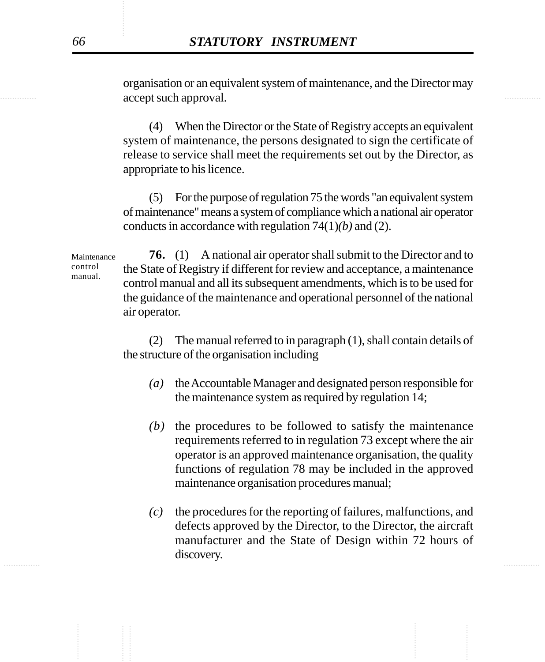examines accept such approval. organisation or an equivalent system of maintenance, and the Director may

> (4) When the Director or the State of Registry accepts an equivalent system of maintenance, the persons designated to sign the certificate of release to service shall meet the requirements set out by the Director, as appropriate to his licence.

> (5) For the purpose of regulation 75 the words "an equivalent system of maintenance" means a system of compliance which a national air operator conducts in accordance with regulation 74(1)*(b)* and (2).

Maintenance control manual.

**76.** (1) A national air operator shall submit to the Director and to the State of Registry if different for review and acceptance, a maintenance control manual and all its subsequent amendments, which is to be used for the guidance of the maintenance and operational personnel of the national air operator.

(2) The manual referred to in paragraph (1), shall contain details of the structure of the organisation including

- *(a)* the Accountable Manager and designated person responsible for the maintenance system as required by regulation 14;
- *(b)* the procedures to be followed to satisfy the maintenance requirements referred to in regulation 73 except where the air operator is an approved maintenance organisation, the quality functions of regulation 78 may be included in the approved maintenance organisation procedures manual;
- ............... ............... *(c)* the procedures for the reporting of failures, malfunctions, and defects approved by the Director, to the Director, the aircraft manufacturer and the State of Design within 72 hours of discovery.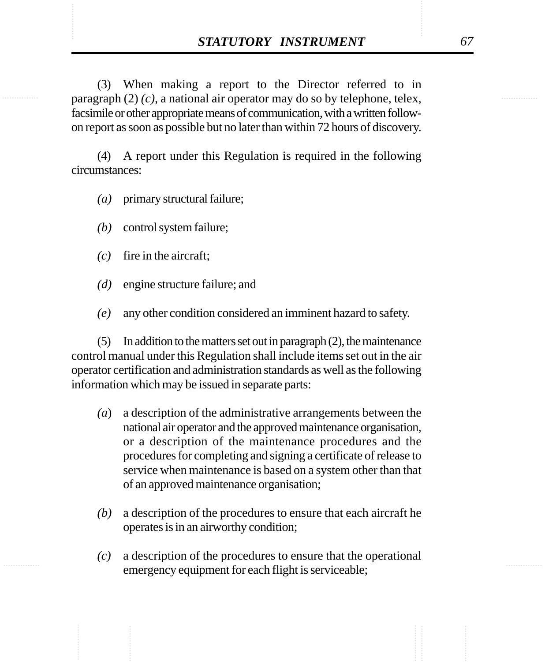**STATUTORY INSTRUMENT** 67<br>
(3) When making a report to the Director referred to in<br>
paragraph (2) (c) a national air operator may do so by telephone telex (3) When making a report to the Director referred to in paragraph (2) *(c)*, a national air operator may do so by telephone, telex, facsimile or other appropriate means of communication, with a written followon report as soon as possible but no later than within 72 hours of discovery.

> (4) A report under this Regulation is required in the following circumstances:

- *(a)* primary structural failure;
- *(b)* control system failure;
- *(c)* fire in the aircraft;
- *(d)* engine structure failure; and
- *(e)* any other condition considered an imminent hazard to safety.

(5) In addition to the matters set out in paragraph (2), the maintenance control manual under this Regulation shall include items set out in the air operator certification and administration standards as well as the following information which may be issued in separate parts:

- *(a*) a description of the administrative arrangements between the national air operator and the approved maintenance organisation, or a description of the maintenance procedures and the procedures for completing and signing a certificate of release to service when maintenance is based on a system other than that of an approved maintenance organisation;
- *(b)* a description of the procedures to ensure that each aircraft he operates is in an airworthy condition;
- *(c)* a description of the procedures to ensure that the operational emergency equipment for each flight is serviceable;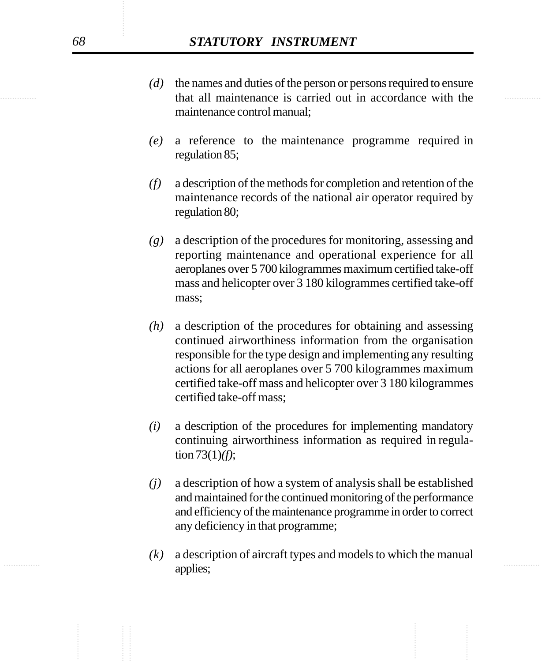- that all maintenance is carried out in accordance with the *(d)* the names and duties of the person or persons required to ensure maintenance control manual;
	- *(e)* a reference to the maintenance programme required in regulation 85;
	- *(f)* a description of the methods for completion and retention of the maintenance records of the national air operator required by regulation 80;
	- *(g)* a description of the procedures for monitoring, assessing and reporting maintenance and operational experience for all aeroplanes over 5 700 kilogrammes maximum certified take-off mass and helicopter over 3 180 kilogrammes certified take-off mass;
	- *(h)* a description of the procedures for obtaining and assessing continued airworthiness information from the organisation responsible for the type design and implementing any resulting actions for all aeroplanes over 5 700 kilogrammes maximum certified take-off mass and helicopter over 3 180 kilogrammes certified take-off mass;
	- *(i)* a description of the procedures for implementing mandatory continuing airworthiness information as required in regulation 73(1)*(f)*;
	- *(j)* a description of how a system of analysis shall be established and maintained for the continued monitoring of the performance and efficiency of the maintenance programme in order to correct any deficiency in that programme;
- ............... ............... *(k)* a description of aircraft types and models to which the manual applies;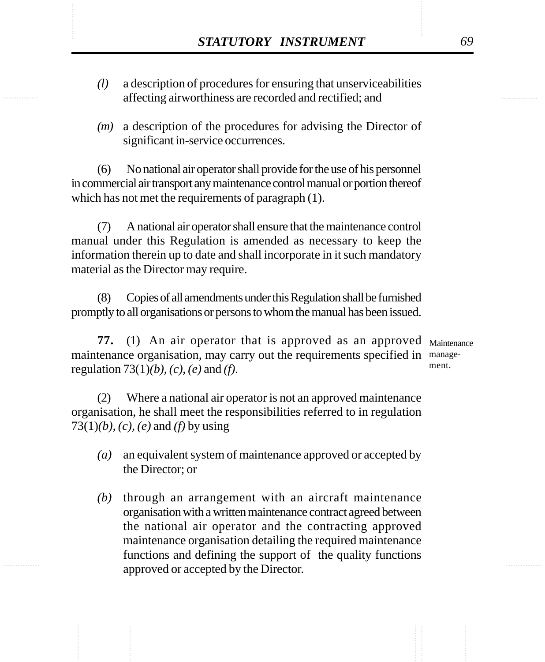- **STATUTORY INSTRUMENT** 69<br>
(1) a description of procedures for ensuring that unserviceabilities<br>
affecting airworthiness are recorded and rectified: and *(l)* a description of procedures for ensuring that unserviceabilities affecting airworthiness are recorded and rectified; and
	- *(m)* a description of the procedures for advising the Director of significant in-service occurrences.

(6) No national air operator shall provide for the use of his personnel in commercial air transport any maintenance control manual or portion thereof which has not met the requirements of paragraph (1).

(7) A national air operator shall ensure that the maintenance control manual under this Regulation is amended as necessary to keep the information therein up to date and shall incorporate in it such mandatory material as the Director may require.

(8) Copies of all amendments under this Regulation shall be furnished promptly to all organisations or persons to whom the manual has been issued.

**77.** (1) An air operator that is approved as an approved Maintenance maintenance organisation, may carry out the requirements specified in manageregulation 73(1)*(b)*, *(c)*, *(e)* and *(f)*. ment.

(2) Where a national air operator is not an approved maintenance organisation, he shall meet the responsibilities referred to in regulation 73(1)*(b), (c), (e)* and *(f)* by using

- *(a)* an equivalent system of maintenance approved or accepted by the Director; or
- *(b)* through an arrangement with an aircraft maintenance organisation with a written maintenance contract agreed between the national air operator and the contracting approved maintenance organisation detailing the required maintenance functions and defining the support of the quality functions approved or accepted by the Director.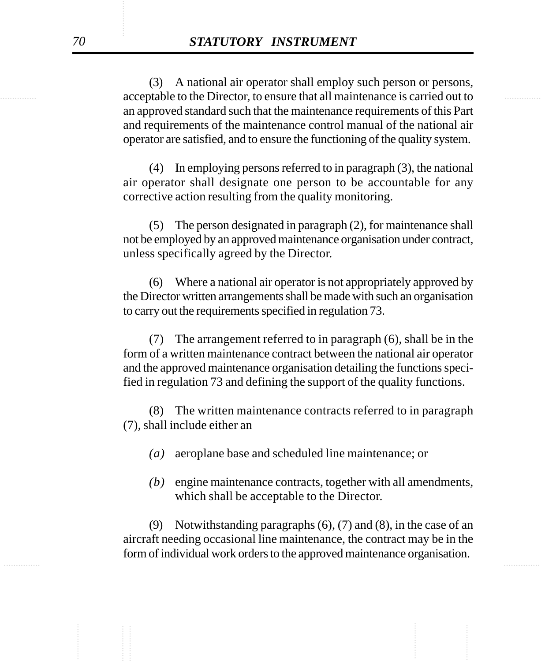acceptable to the Director, to ensure that all maintenance is carried out to (3) A national air operator shall employ such person or persons, an approved standard such that the maintenance requirements of this Part and requirements of the maintenance control manual of the national air operator are satisfied, and to ensure the functioning of the quality system.

> (4) In employing persons referred to in paragraph (3), the national air operator shall designate one person to be accountable for any corrective action resulting from the quality monitoring.

> (5) The person designated in paragraph (2), for maintenance shall not be employed by an approved maintenance organisation under contract, unless specifically agreed by the Director.

> (6) Where a national air operator is not appropriately approved by the Director written arrangements shall be made with such an organisation to carry out the requirements specified in regulation 73.

> (7) The arrangement referred to in paragraph (6), shall be in the form of a written maintenance contract between the national air operator and the approved maintenance organisation detailing the functions specified in regulation 73 and defining the support of the quality functions.

> (8) The written maintenance contracts referred to in paragraph (7), shall include either an

- *(a)* aeroplane base and scheduled line maintenance; or
- *(b)* engine maintenance contracts, together with all amendments, which shall be acceptable to the Director.

............... ............... (9) Notwithstanding paragraphs (6), (7) and (8), in the case of an aircraft needing occasional line maintenance, the contract may be in the form of individual work orders to the approved maintenance organisation.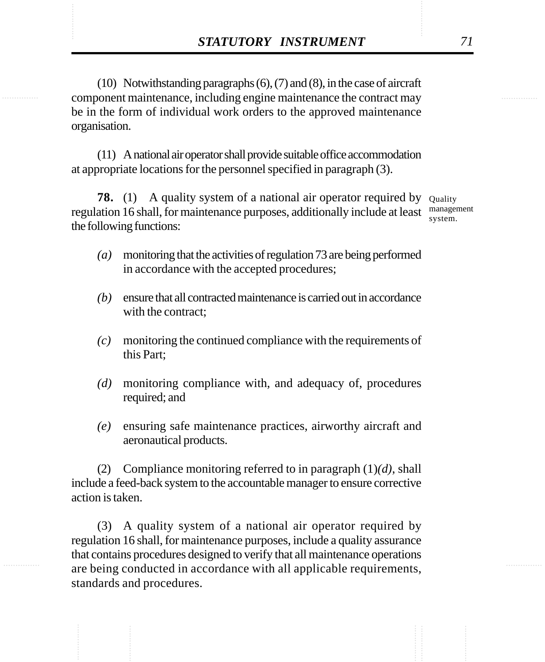**STATUTORY INSTRUMENT** 71<br>(10) Notwithstanding paragraphs (6), (7) and (8), in the case of aircraft<br>component maintenance. including engine maintenance the contract may (10) Notwithstanding paragraphs (6), (7) and (8), in the case of aircraft component maintenance, including engine maintenance the contract may be in the form of individual work orders to the approved maintenance organisation.

> (11) A national air operator shall provide suitable office accommodation at appropriate locations for the personnel specified in paragraph (3).

**78.** (1) A quality system of a national air operator required by Quality regulation 16 shall, for maintenance purposes, additionally include at least management the following functions:

system.

- *(a)* monitoring that the activities of regulation 73 are being performed in accordance with the accepted procedures;
- *(b)* ensure that all contracted maintenance is carried out in accordance with the contract:
- *(c)* monitoring the continued compliance with the requirements of this Part;
- *(d)* monitoring compliance with, and adequacy of, procedures required; and
- *(e)* ensuring safe maintenance practices, airworthy aircraft and aeronautical products.

(2) Compliance monitoring referred to in paragraph (1)*(d)*, shall include a feed-back system to the accountable manager to ensure corrective action is taken.

(3) A quality system of a national air operator required by regulation 16 shall, for maintenance purposes, include a quality assurance that contains procedures designed to verify that all maintenance operations are being conducted in accordance with all applicable requirements, standards and procedures.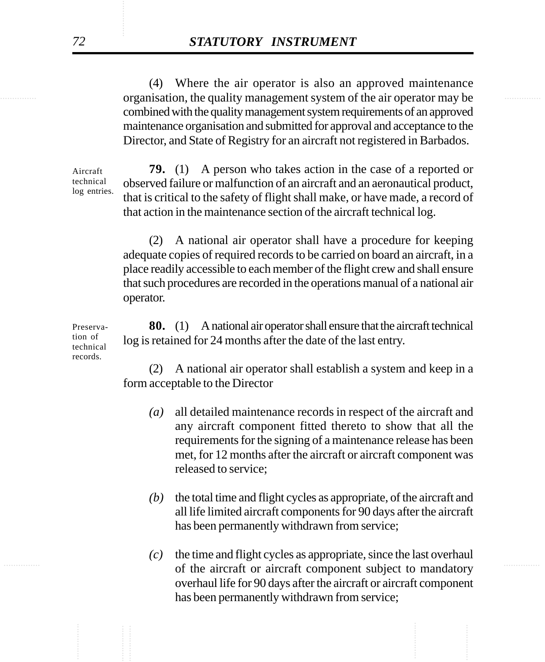organisation, the quality management system of the air operator may be (4) Where the air operator is also an approved maintenance combined with the quality management system requirements of an approved maintenance organisation and submitted for approval and acceptance to the Director, and State of Registry for an aircraft not registered in Barbados.

> Aircraft technical log entries.

**79.** (1) A person who takes action in the case of a reported or observed failure or malfunction of an aircraft and an aeronautical product, that is critical to the safety of flight shall make, or have made, a record of that action in the maintenance section of the aircraft technical log.

(2) A national air operator shall have a procedure for keeping adequate copies of required records to be carried on board an aircraft, in a place readily accessible to each member of the flight crew and shall ensure that such procedures are recorded in the operations manual of a national air operator.

**80.** (1) A national air operator shall ensure that the aircraft technical log is retained for 24 months after the date of the last entry.

(2) A national air operator shall establish a system and keep in a form acceptable to the Director

- *(a)* all detailed maintenance records in respect of the aircraft and any aircraft component fitted thereto to show that all the requirements for the signing of a maintenance release has been met, for 12 months after the aircraft or aircraft component was released to service;
- *(b)* the total time and flight cycles as appropriate, of the aircraft and all life limited aircraft components for 90 days after the aircraft has been permanently withdrawn from service;
- of the aircraft or aircraft component subject to mandatory *(c)* the time and flight cycles as appropriate, since the last overhaul overhaul life for 90 days after the aircraft or aircraft component has been permanently withdrawn from service;

Preservation of technical records.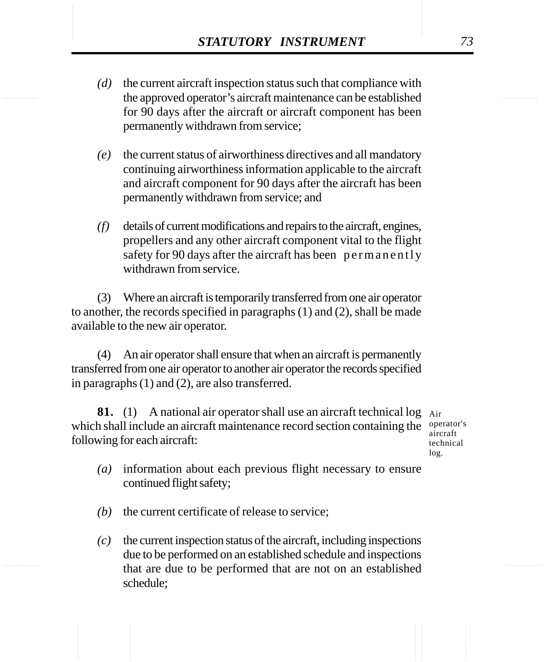- **STATUTORY INSTRUMENT** 73<br>
(*d*) the current aircraft inspection status such that compliance with the approved operator's aircraft maintenance can be established *(d)* the current aircraft inspection status such that compliance with the approved operator's aircraft maintenance can be established for 90 days after the aircraft or aircraft component has been permanently withdrawn from service;
	- *(e)* the current status of airworthiness directives and all mandatory continuing airworthiness information applicable to the aircraft and aircraft component for 90 days after the aircraft has been permanently withdrawn from service; and
	- *(f)* details of current modifications and repairs to the aircraft, engines, propellers and any other aircraft component vital to the flight safety for 90 days after the aircraft has been permanently withdrawn from service.

(3) Where an aircraft is temporarily transferred from one air operator to another, the records specified in paragraphs (1) and (2), shall be made available to the new air operator.

(4) An air operator shall ensure that when an aircraft is permanently transferred from one air operator to another air operator the records specified in paragraphs (1) and (2), are also transferred.

**81.** (1) A national air operator shall use an aircraft technical log Air which shall include an aircraft maintenance record section containing the  $\frac{operator}{\sigma}$ following for each aircraft:

aircraft technical log.

- *(a)* information about each previous flight necessary to ensure continued flight safety;
- *(b)* the current certificate of release to service;
- *(c)* the current inspection status of the aircraft, including inspections due to be performed on an established schedule and inspections that are due to be performed that are not on an established schedule;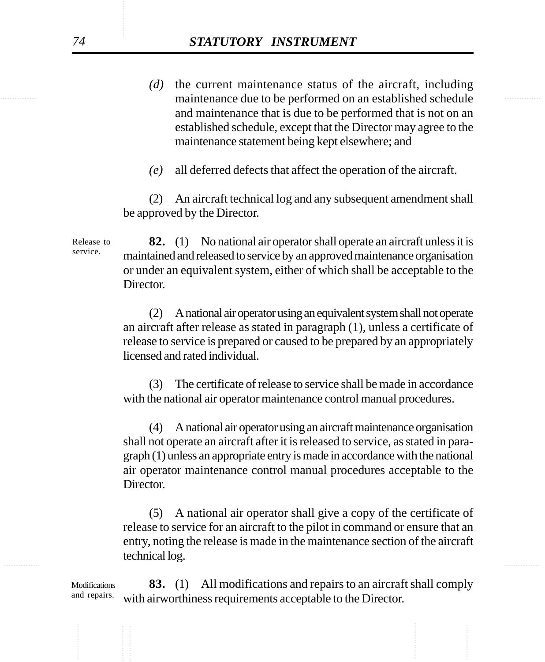- maintenance due to be performed on an established schedule *(d)* the current maintenance status of the aircraft, including and maintenance that is due to be performed that is not on an established schedule, except that the Director may agree to the maintenance statement being kept elsewhere; and
	- *(e)* all deferred defects that affect the operation of the aircraft.

(2) An aircraft technical log and any subsequent amendment shall be approved by the Director.

**82.** (1) No national air operator shall operate an aircraft unless it is maintained and released to service by an approved maintenance organisation or under an equivalent system, either of which shall be acceptable to the Director. Release to service.

> (2) A national air operator using an equivalent system shall not operate an aircraft after release as stated in paragraph (1), unless a certificate of release to service is prepared or caused to be prepared by an appropriately licensed and rated individual.

> (3) The certificate of release to service shall be made in accordance with the national air operator maintenance control manual procedures.

> (4) A national air operator using an aircraft maintenance organisation shall not operate an aircraft after it is released to service, as stated in paragraph (1) unless an appropriate entry is made in accordance with the national air operator maintenance control manual procedures acceptable to the Director.

............... ............... (5) A national air operator shall give a copy of the certificate of release to service for an aircraft to the pilot in command or ensure that an entry, noting the release is made in the maintenance section of the aircraft technical log.

> **83.** (1) All modifications and repairs to an aircraft shall comply with airworthiness requirements acceptable to the Director. Modifications and repairs.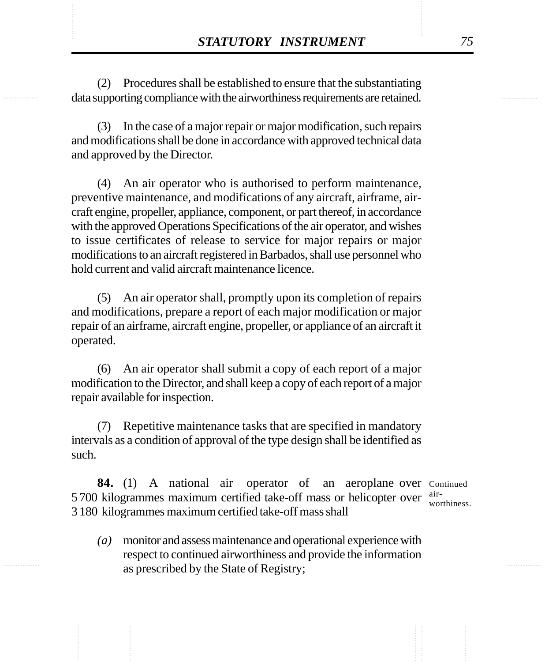**STATUTORY INSTRUMENT** 75<br>(2) Procedures shall be established to ensure that the substantiating<br>data supporting compliance with the airworthiness requirements are retained. (2) Procedures shall be established to ensure that the substantiating data supporting compliance with the airworthiness requirements are retained.

> (3) In the case of a major repair or major modification, such repairs and modifications shall be done in accordance with approved technical data and approved by the Director.

> (4) An air operator who is authorised to perform maintenance, preventive maintenance, and modifications of any aircraft, airframe, aircraft engine, propeller, appliance, component, or part thereof, in accordance with the approved Operations Specifications of the air operator, and wishes to issue certificates of release to service for major repairs or major modifications to an aircraft registered in Barbados, shall use personnel who hold current and valid aircraft maintenance licence.

> (5) An air operator shall, promptly upon its completion of repairs and modifications, prepare a report of each major modification or major repair of an airframe, aircraft engine, propeller, or appliance of an aircraft it operated.

> (6) An air operator shall submit a copy of each report of a major modification to the Director, and shall keep a copy of each report of a major repair available for inspection.

> (7) Repetitive maintenance tasks that are specified in mandatory intervals as a condition of approval of the type design shall be identified as such.

**84.** (1) A national air operator of an aeroplane over Continued 5 700 kilogrammes maximum certified take-off mass or helicopter over air-3 180 kilogrammes maximum certified take-off mass shall

- worthiness.
- *(a)* monitor and assess maintenance and operational experience with respect to continued airworthiness and provide the information as prescribed by the State of Registry;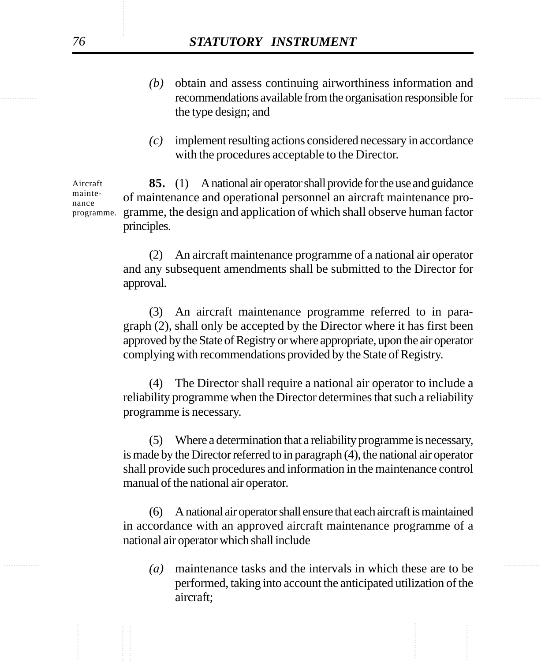- recommendations available from the organisation responsible for *(b)* obtain and assess continuing airworthiness information and the type design; and
	- *(c)* implement resulting actions considered necessary in accordance with the procedures acceptable to the Director.

**85.** (1) A national air operator shall provide for the use and guidance of maintenance and operational personnel an aircraft maintenance programme, the design and application of which shall observe human factor principles. Aircraft maintenance programme.

> (2) An aircraft maintenance programme of a national air operator and any subsequent amendments shall be submitted to the Director for approval.

> (3) An aircraft maintenance programme referred to in paragraph (2), shall only be accepted by the Director where it has first been approved by the State of Registry or where appropriate, upon the air operator complying with recommendations provided by the State of Registry.

> (4) The Director shall require a national air operator to include a reliability programme when the Director determines that such a reliability programme is necessary.

> (5) Where a determination that a reliability programme is necessary, is made by the Director referred to in paragraph (4), the national air operator shall provide such procedures and information in the maintenance control manual of the national air operator.

> (6) A national air operator shall ensure that each aircraft is maintained in accordance with an approved aircraft maintenance programme of a national air operator which shall include

............... ............... *(a)* maintenance tasks and the intervals in which these are to be performed, taking into account the anticipated utilization of the aircraft;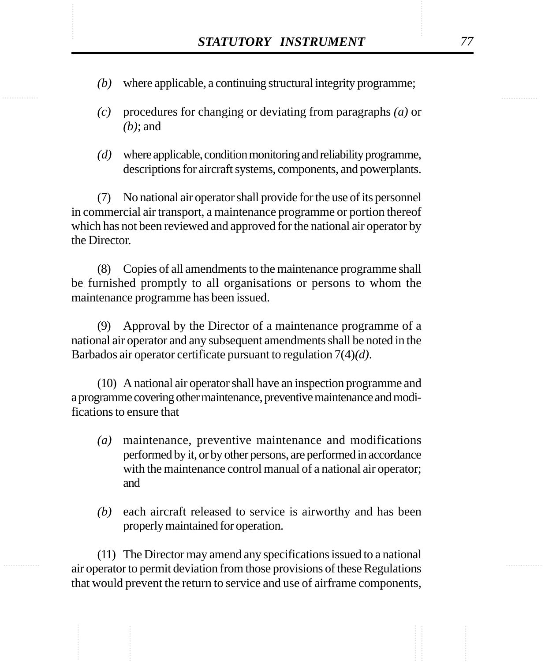- XXXTUTORY INSTRUMENT 77<br>(b) where applicable, a continuing structural integrity programme; *(b)* where applicable, a continuing structural integrity programme;
	- *(c)* procedures for changing or deviating from paragraphs *(a)* or *(b)*; and
	- *(d)* where applicable, condition monitoring and reliability programme, descriptions for aircraft systems, components, and powerplants.

(7) No national air operator shall provide for the use of its personnel in commercial air transport, a maintenance programme or portion thereof which has not been reviewed and approved for the national air operator by the Director.

(8) Copies of all amendments to the maintenance programme shall be furnished promptly to all organisations or persons to whom the maintenance programme has been issued.

(9) Approval by the Director of a maintenance programme of a national air operator and any subsequent amendments shall be noted in the Barbados air operator certificate pursuant to regulation 7(4)*(d)*.

(10) A national air operator shall have an inspection programme and a programme covering other maintenance, preventive maintenance and modifications to ensure that

- *(a)* maintenance, preventive maintenance and modifications performed by it, or by other persons, are performed in accordance with the maintenance control manual of a national air operator; and
- *(b)* each aircraft released to service is airworthy and has been properly maintained for operation.

(11) The Director may amend any specifications issued to a national air operator to permit deviation from those provisions of these Regulations that would prevent the return to service and use of airframe components,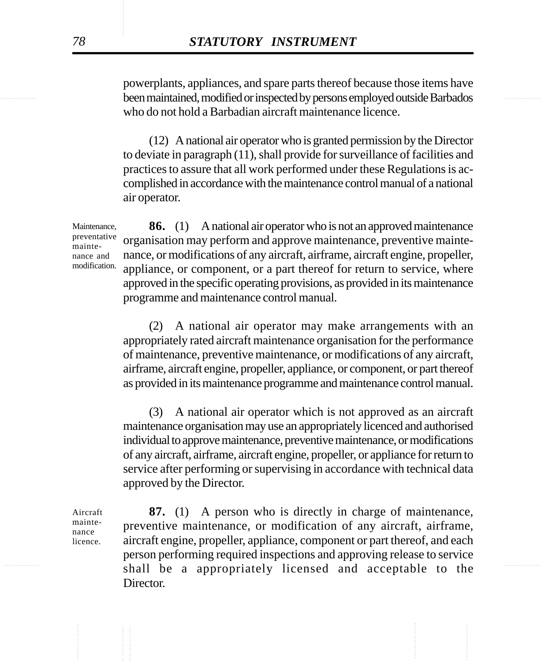been maintained, modified or inspected by persons employed outside Barbados powerplants, appliances, and spare parts thereof because those items have who do not hold a Barbadian aircraft maintenance licence.

> (12) A national air operator who is granted permission by the Director to deviate in paragraph (11), shall provide for surveillance of facilities and practices to assure that all work performed under these Regulations is accomplished in accordance with the maintenance control manual of a national air operator.

**86.** (1) A national air operator who is not an approved maintenance organisation may perform and approve maintenance, preventive maintenance, or modifications of any aircraft, airframe, aircraft engine, propeller, appliance, or component, or a part thereof for return to service, where approved in the specific operating provisions, as provided in its maintenance programme and maintenance control manual.

(2) A national air operator may make arrangements with an appropriately rated aircraft maintenance organisation for the performance of maintenance, preventive maintenance, or modifications of any aircraft, airframe, aircraft engine, propeller, appliance, or component, or part thereof as provided in its maintenance programme and maintenance control manual.

(3) A national air operator which is not approved as an aircraft maintenance organisation may use an appropriately licenced and authorised individual to approve maintenance, preventive maintenance, or modifications of any aircraft, airframe, aircraft engine, propeller, or appliance for return to service after performing or supervising in accordance with technical data approved by the Director.

Aircraft maintenance licence.

shall be a appropriately licensed and acceptable to the **87.** (1) A person who is directly in charge of maintenance, preventive maintenance, or modification of any aircraft, airframe, aircraft engine, propeller, appliance, component or part thereof, and each person performing required inspections and approving release to service Director.

Maintenance, preventative maintenance and modification.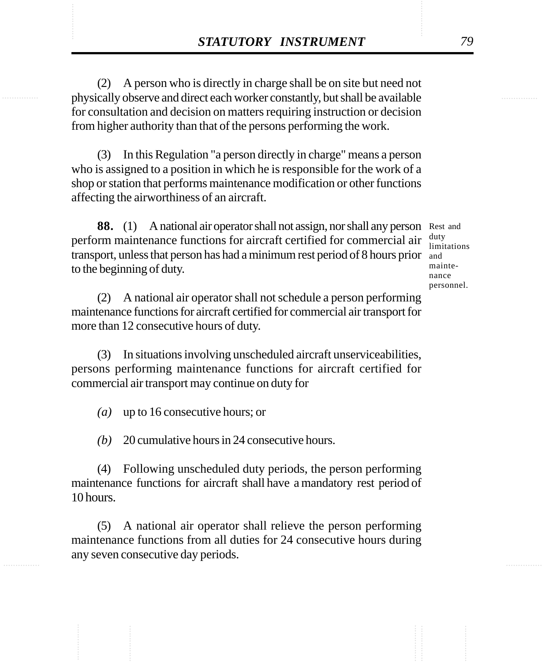**STATUTORY INSTRUMENT** 79<br>
(2) A person who is directly in charge shall be on site but need not<br>
physically observe and direct each worker constantly, but shall be available (2) A person who is directly in charge shall be on site but need not physically observe and direct each worker constantly, but shall be available for consultation and decision on matters requiring instruction or decision from higher authority than that of the persons performing the work.

> (3) In this Regulation "a person directly in charge" means a person who is assigned to a position in which he is responsible for the work of a shop or station that performs maintenance modification or other functions affecting the airworthiness of an aircraft.

**88.** (1) A national air operator shall not assign, nor shall any person Rest and perform maintenance functions for aircraft certified for commercial air transport, unless that person has had a minimum rest period of 8 hours prior and to the beginning of duty.

duty limitations maintenance personnel.

(2) A national air operator shall not schedule a person performing maintenance functions for aircraft certified for commercial air transport for more than 12 consecutive hours of duty.

(3) In situations involving unscheduled aircraft unserviceabilities, persons performing maintenance functions for aircraft certified for commercial air transport may continue on duty for

*(a)* up to 16 consecutive hours; or

*(b)* 20 cumulative hours in 24 consecutive hours.

(4) Following unscheduled duty periods, the person performing maintenance functions for aircraft shall have a mandatory rest period of 10 hours.

(5) A national air operator shall relieve the person performing maintenance functions from all duties for 24 consecutive hours during any seven consecutive day periods.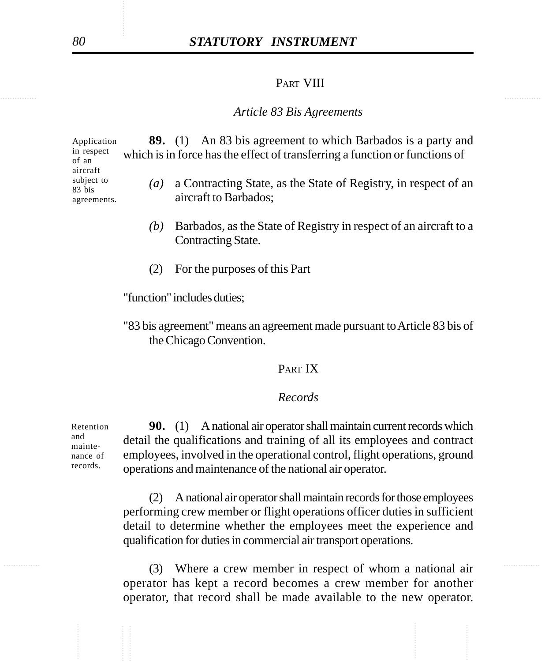# *80 STATUTORY INSTRUMENT*

## PART VIII

#### *Article 83 Bis Agreements*

**89.** (1) An 83 bis agreement to which Barbados is a party and which is in force has the effect of transferring a function or functions of

- *(a)* a Contracting State, as the State of Registry, in respect of an aircraft to Barbados;
- *(b)* Barbados, as the State of Registry in respect of an aircraft to a Contracting State.
- (2) For the purposes of this Part

"function" includes duties;

"83 bis agreement" means an agreement made pursuant to Article 83 bis of the Chicago Convention.

## PART IX

## *Records*

**90.** (1) A national air operator shall maintain current records which detail the qualifications and training of all its employees and contract employees, involved in the operational control, flight operations, ground operations and maintenance of the national air operator. Retention nance of

> (2) A national air operator shall maintain records for those employees performing crew member or flight operations officer duties in sufficient detail to determine whether the employees meet the experience and qualification for duties in commercial air transport operations.

............... ............... (3) Where a crew member in respect of whom a national air operator has kept a record becomes a crew member for another operator, that record shall be made available to the new operator.

Application in respect of an aircraft subject to 83 bis agreements.

and mainte-

records.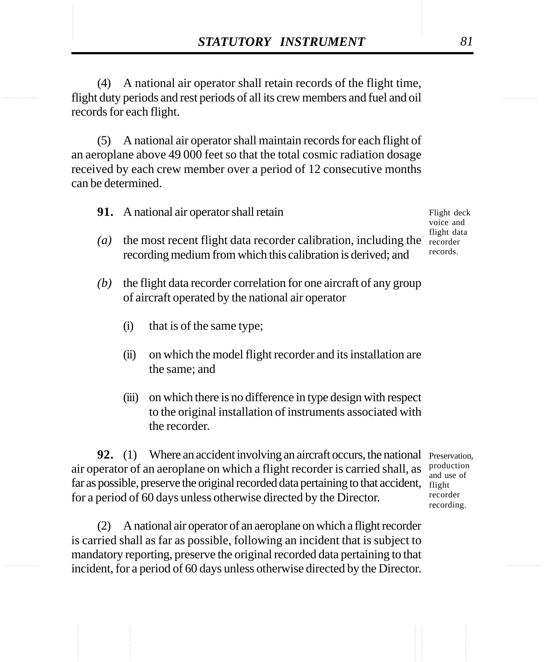**STATUTORY INSTRUMENT** 81<br>(4) A national air operator shall retain records of the flight time,<br>flight duty periods and rest periods of all its crew members and fuel and oil (4) A national air operator shall retain records of the flight time, flight duty periods and rest periods of all its crew members and fuel and oil records for each flight.

> (5) A national air operator shall maintain records for each flight of an aeroplane above 49 000 feet so that the total cosmic radiation dosage received by each crew member over a period of 12 consecutive months can be determined.

- **91.** A national air operator shall retain
- *(a)* the most recent flight data recorder calibration, including the recorder recording medium from which this calibration is derived; and
- *(b)* the flight data recorder correlation for one aircraft of any group of aircraft operated by the national air operator
	- (i) that is of the same type;
	- (ii) on which the model flight recorder and its installation are the same; and
	- (iii) on which there is no difference in type design with respect to the original installation of instruments associated with the recorder.

**92.** (1) Where an accident involving an aircraft occurs, the national Preservation, air operator of an aeroplane on which a flight recorder is carried shall, as far as possible, preserve the original recorded data pertaining to that accident, flight for a period of 60 days unless otherwise directed by the Director.

(2) A national air operator of an aeroplane on which a flight recorder is carried shall as far as possible, following an incident that is subject to mandatory reporting, preserve the original recorded data pertaining to that incident, for a period of 60 days unless otherwise directed by the Director.

production and use of recorder recording.

Flight deck voice and flight data records.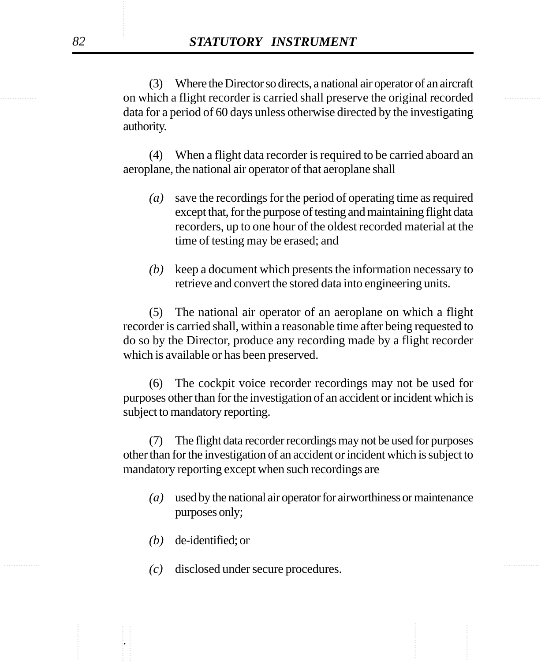on which a flight recorder is carried shall preserve the original recorded (3) Where the Director so directs, a national air operator of an aircraft data for a period of 60 days unless otherwise directed by the investigating authority.

> (4) When a flight data recorder is required to be carried aboard an aeroplane, the national air operator of that aeroplane shall

- *(a)* save the recordings for the period of operating time as required except that, for the purpose of testing and maintaining flight data recorders, up to one hour of the oldest recorded material at the time of testing may be erased; and
- *(b)* keep a document which presents the information necessary to retrieve and convert the stored data into engineering units.

(5) The national air operator of an aeroplane on which a flight recorder is carried shall, within a reasonable time after being requested to do so by the Director, produce any recording made by a flight recorder which is available or has been preserved.

(6) The cockpit voice recorder recordings may not be used for purposes other than for the investigation of an accident or incident which is subject to mandatory reporting.

(7) The flight data recorder recordings may not be used for purposes other than for the investigation of an accident or incident which is subject to mandatory reporting except when such recordings are

- *(a)* used by the national air operator for airworthiness or maintenance purposes only;
- *(b)* de-identified; or

.

............... ............... *(c)* disclosed under secure procedures.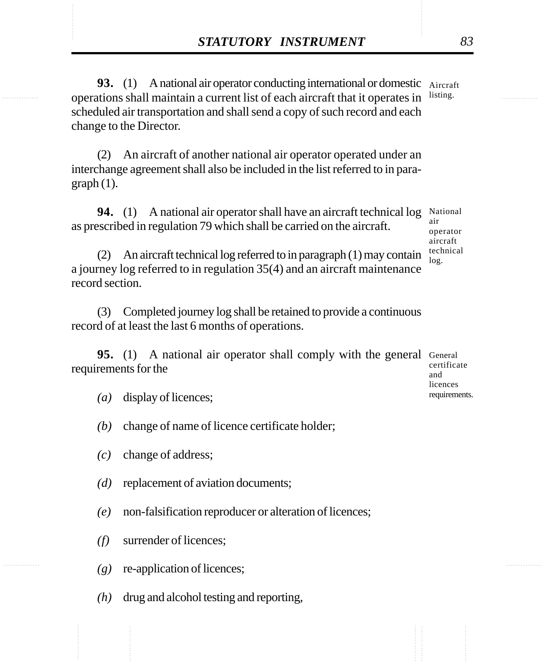**STATUTORY INSTRUMENT** 83<br> **93.** (1) A national air operator conducting international or domestic Aircraft<br>
operations shall maintain a current list of each aircraft that it operates in listing. **93.** (1) A national air operator conducting international or domestic Aircraft operations shall maintain a current list of each aircraft that it operates in listing. scheduled air transportation and shall send a copy of such record and each change to the Director.

> (2) An aircraft of another national air operator operated under an interchange agreement shall also be included in the list referred to in para $graph(1)$ .

**94.** (1) A national air operator shall have an aircraft technical log National as prescribed in regulation 79 which shall be carried on the aircraft. air

operator aircraft technical log.

licences requirements.

(2) An aircraft technical log referred to in paragraph (1) may contain a journey log referred to in regulation 35(4) and an aircraft maintenance record section.

(3) Completed journey log shall be retained to provide a continuous record of at least the last 6 months of operations.

**95.** (1) A national air operator shall comply with the general General requirements for the certificate and

- *(a)* display of licences;
- *(b)* change of name of licence certificate holder;
- *(c)* change of address;
- *(d)* replacement of aviation documents;
- *(e)* non-falsification reproducer or alteration of licences;
- *(f)* surrender of licences;
- *(g)* re-application of licences;
- *(h)* drug and alcohol testing and reporting,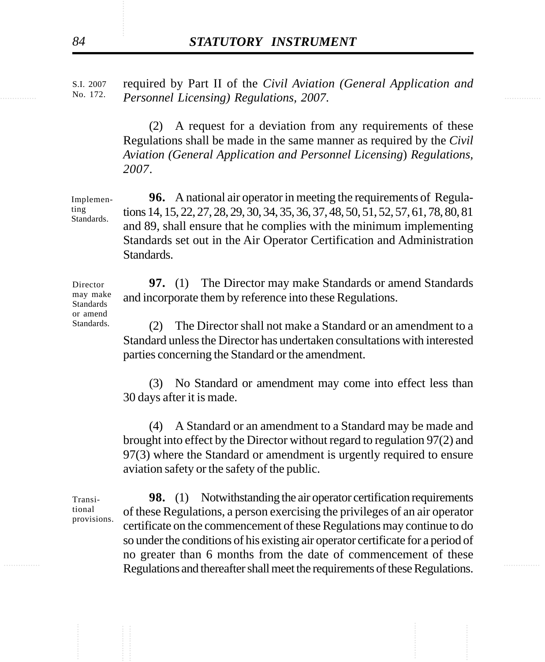............... ............... *Personnel Licensing) Regulations, 2007*. required by Part II of the *Civil Aviation (General Application and* S.I. 2007 No. 172.

> (2) A request for a deviation from any requirements of these Regulations shall be made in the same manner as required by the *Civil Aviation (General Application and Personnel Licensing*) *Regulations, 2007*.

**96.** A national air operator in meeting the requirements of Regulations 14, 15, 22, 27, 28, 29, 30, 34, 35, 36, 37, 48, 50, 51, 52, 57, 61, 78, 80, 81 and 89, shall ensure that he complies with the minimum implementing Standards set out in the Air Operator Certification and Administration Standards. Implemen-Standards.

> **97.** (1) The Director may make Standards or amend Standards and incorporate them by reference into these Regulations.

> (2) The Director shall not make a Standard or an amendment to a Standard unless the Director has undertaken consultations with interested parties concerning the Standard or the amendment.

> (3) No Standard or amendment may come into effect less than 30 days after it is made.

> (4) A Standard or an amendment to a Standard may be made and brought into effect by the Director without regard to regulation 97(2) and 97(3) where the Standard or amendment is urgently required to ensure aviation safety or the safety of the public.

Transitional provisions.

**EXECUTE:** Regulations and thereafter shall meet the requirements of these Regulations. **98.** (1) Notwithstanding the air operator certification requirements of these Regulations, a person exercising the privileges of an air operator certificate on the commencement of these Regulations may continue to do so under the conditions of his existing air operator certificate for a period of no greater than 6 months from the date of commencement of these

ting

Director may make Standards or amend Standards.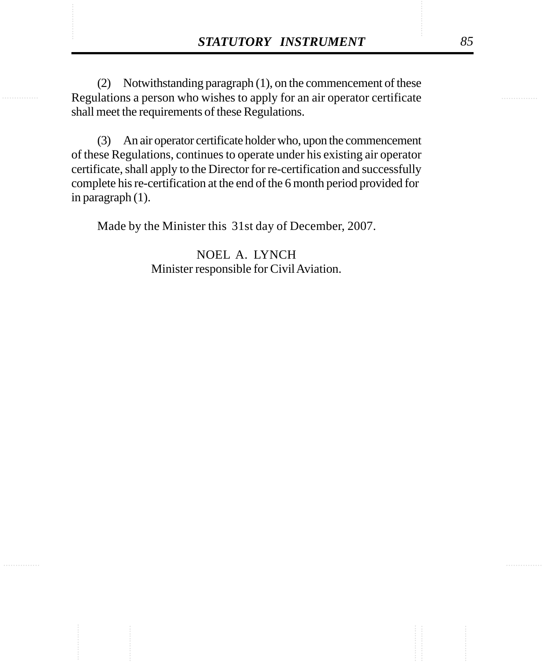**STATUTORY INSTRUMENT** 85<br>
(2) Notwithstanding paragraph (1), on the commencement of these<br>
Regulations a person who wishes to apply for an air operator certificate (2) Notwithstanding paragraph (1), on the commencement of these Regulations a person who wishes to apply for an air operator certificate shall meet the requirements of these Regulations.

> (3) An air operator certificate holder who, upon the commencement of these Regulations, continues to operate under his existing air operator certificate, shall apply to the Director for re-certification and successfully complete his re-certification at the end of the 6 month period provided for in paragraph (1).

Made by the Minister this 31st day of December, 2007.

NOEL A. LYNCH Minister responsible for Civil Aviation.